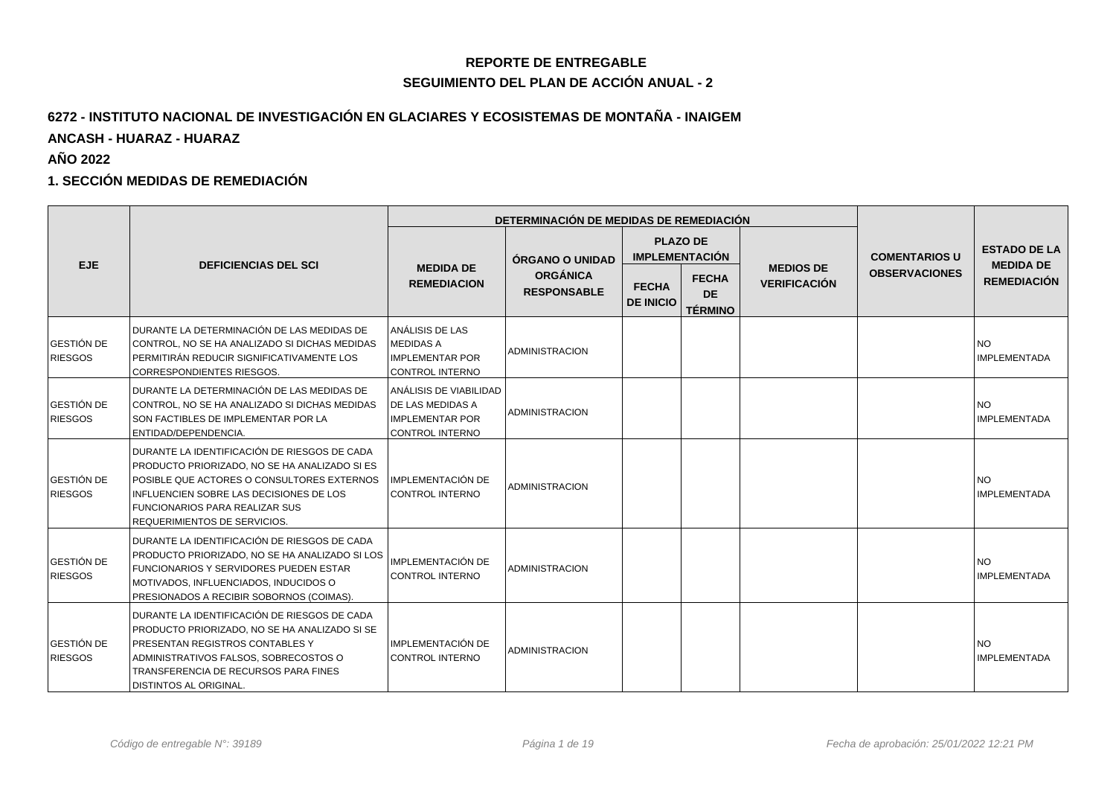## **REPORTE DE ENTREGABLE**

### **SEGUIMIENTO DEL PLAN DE ACCIÓN ANUAL - 2**

## **6272 - INSTITUTO NACIONAL DE INVESTIGACIÓN EN GLACIARES Y ECOSISTEMAS DE MONTAÑA - INAIGEMANCASH - HUARAZ - HUARAZ**

**AÑO 2022**

#### **1. SECCIÓN MEDIDAS DE REMEDIACIÓN**

|                                     |                                                                                                                                                                                                                                                                 |                                                                                                  | DETERMINACIÓN DE MEDIDAS DE REMEDIACIÓN |                                  |                                             |                     |                      |                                         |
|-------------------------------------|-----------------------------------------------------------------------------------------------------------------------------------------------------------------------------------------------------------------------------------------------------------------|--------------------------------------------------------------------------------------------------|-----------------------------------------|----------------------------------|---------------------------------------------|---------------------|----------------------|-----------------------------------------|
| EJE.                                | <b>DEFICIENCIAS DEL SCI</b>                                                                                                                                                                                                                                     | <b>MEDIDA DE</b>                                                                                 | <b>ÓRGANO O UNIDAD</b>                  | <b>IMPLEMENTACIÓN</b>            | <b>PLAZO DE</b>                             | <b>MEDIOS DE</b>    | <b>COMENTARIOS U</b> | <b>ESTADO DE LA</b><br><b>MEDIDA DE</b> |
|                                     |                                                                                                                                                                                                                                                                 | <b>REMEDIACION</b>                                                                               | <b>ORGÁNICA</b><br><b>RESPONSABLE</b>   | <b>FECHA</b><br><b>DE INICIO</b> | <b>FECHA</b><br><b>DE</b><br><b>TÉRMINO</b> | <b>VERIFICACIÓN</b> | <b>OBSERVACIONES</b> | <b>REMEDIACIÓN</b>                      |
| GESTIÓN DE<br><b>RIESGOS</b>        | DURANTE LA DETERMINACIÓN DE LAS MEDIDAS DE<br>CONTROL, NO SE HA ANALIZADO SI DICHAS MEDIDAS<br>PERMITIRÁN REDUCIR SIGNIFICATIVAMENTE LOS<br><b>CORRESPONDIENTES RIESGOS.</b>                                                                                    | ANÁLISIS DE LAS<br><b>MEDIDAS A</b><br><b>IMPLEMENTAR POR</b><br>CONTROL INTERNO                 | <b>ADMINISTRACION</b>                   |                                  |                                             |                     |                      | <b>NO</b><br>IMPLEMENTADA               |
| GESTIÓN DE<br><b>RIESGOS</b>        | DURANTE LA DETERMINACIÓN DE LAS MEDIDAS DE<br>CONTROL, NO SE HA ANALIZADO SI DICHAS MEDIDAS<br>SON FACTIBLES DE IMPLEMENTAR POR LA<br>ENTIDAD/DEPENDENCIA.                                                                                                      | Í ANÁLISIS DE VIABILIDAD<br><b>DE LAS MEDIDAS A</b><br><b>IMPLEMENTAR POR</b><br>CONTROL INTERNO | <b>ADMINISTRACION</b>                   |                                  |                                             |                     |                      | <b>NO</b><br><b>IMPLEMENTADA</b>        |
| GESTIÓN DE<br><b>RIESGOS</b>        | DURANTE LA IDENTIFICACIÓN DE RIESGOS DE CADA<br>PRODUCTO PRIORIZADO, NO SE HA ANALIZADO SI ES<br>POSIBLE QUE ACTORES O CONSULTORES EXTERNOS<br>INFLUENCIEN SOBRE LAS DECISIONES DE LOS<br><b>FUNCIONARIOS PARA REALIZAR SUS</b><br>REQUERIMIENTOS DE SERVICIOS. | IMPLEMENTACIÓN DE<br>CONTROL INTERNO                                                             | <b>ADMINISTRACION</b>                   |                                  |                                             |                     |                      | NO <sub>1</sub><br>IMPLEMENTADA         |
| <b>GESTIÓN DE</b><br><b>RIESGOS</b> | DURANTE LA IDENTIFICACIÓN DE RIESGOS DE CADA<br>PRODUCTO PRIORIZADO, NO SE HA ANALIZADO SI LOS<br><b>FUNCIONARIOS Y SERVIDORES PUEDEN ESTAR</b><br>MOTIVADOS, INFLUENCIADOS, INDUCIDOS O<br>PRESIONADOS A RECIBIR SOBORNOS (COIMAS).                            | IMPLEMENTACIÓN DE<br>CONTROL INTERNO                                                             | <b>ADMINISTRACION</b>                   |                                  |                                             |                     |                      | NO <sub>1</sub><br><b>IMPLEMENTADA</b>  |
| <b>GESTIÓN DE</b><br><b>RIESGOS</b> | DURANTE LA IDENTIFICACIÓN DE RIESGOS DE CADA<br>PRODUCTO PRIORIZADO, NO SE HA ANALIZADO SI SE<br>PRESENTAN REGISTROS CONTABLES Y<br>ADMINISTRATIVOS FALSOS, SOBRECOSTOS O<br>TRANSFERENCIA DE RECURSOS PARA FINES<br>DISTINTOS AL ORIGINAL.                     | <b>IMPLEMENTACIÓN DE</b><br>CONTROL INTERNO                                                      | <b>ADMINISTRACION</b>                   |                                  |                                             |                     |                      | NO <sub>1</sub><br><b>IMPLEMENTADA</b>  |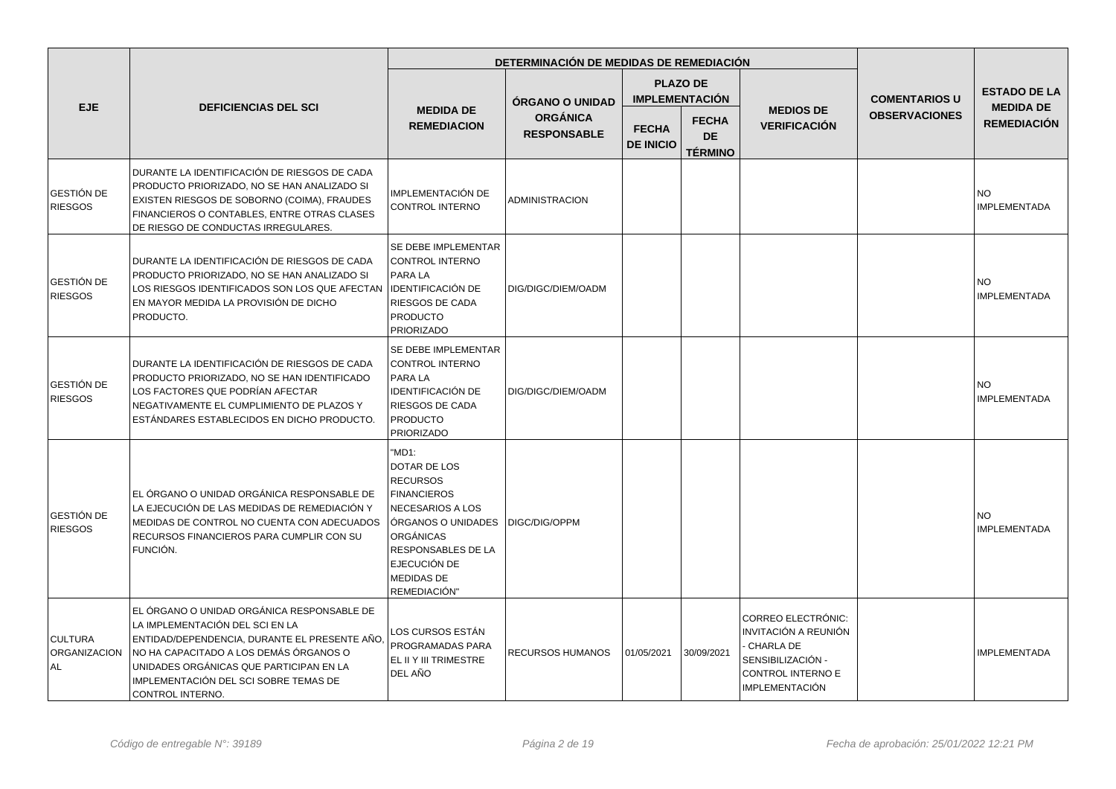|                                      |                                                                                                                                                                                                                                                                                  | DETERMINACIÓN DE MEDIDAS DE REMEDIACIÓN                                                                                                                                                                               |                                       |                                  |                                             |                                                                                                                                   |                      |                                        |
|--------------------------------------|----------------------------------------------------------------------------------------------------------------------------------------------------------------------------------------------------------------------------------------------------------------------------------|-----------------------------------------------------------------------------------------------------------------------------------------------------------------------------------------------------------------------|---------------------------------------|----------------------------------|---------------------------------------------|-----------------------------------------------------------------------------------------------------------------------------------|----------------------|----------------------------------------|
|                                      |                                                                                                                                                                                                                                                                                  |                                                                                                                                                                                                                       | <b>ORGANO O UNIDAD</b>                |                                  | <b>PLAZO DE</b><br><b>IMPLEMENTACIÓN</b>    |                                                                                                                                   | <b>COMENTARIOS U</b> | <b>ESTADO DE LA</b>                    |
| EJE.                                 | <b>DEFICIENCIAS DEL SCI</b>                                                                                                                                                                                                                                                      | <b>MEDIDA DE</b><br><b>REMEDIACION</b>                                                                                                                                                                                | <b>ORGÁNICA</b><br><b>RESPONSABLE</b> | <b>FECHA</b><br><b>DE INICIO</b> | <b>FECHA</b><br><b>DE</b><br><b>TÉRMINO</b> | <b>MEDIOS DE</b><br><b>VERIFICACIÓN</b>                                                                                           | <b>OBSERVACIONES</b> | <b>MEDIDA DE</b><br><b>REMEDIACIÓN</b> |
| GESTIÓN DE<br><b>RIESGOS</b>         | DURANTE LA IDENTIFICACIÓN DE RIESGOS DE CADA<br>PRODUCTO PRIORIZADO, NO SE HAN ANALIZADO SI<br>EXISTEN RIESGOS DE SOBORNO (COIMA), FRAUDES<br>FINANCIEROS O CONTABLES, ENTRE OTRAS CLASES<br>DE RIESGO DE CONDUCTAS IRREGULARES.                                                 | IMPLEMENTACIÓN DE<br>CONTROL INTERNO                                                                                                                                                                                  | ADMINISTRACION                        |                                  |                                             |                                                                                                                                   |                      | <b>NO</b><br><b>IMPLEMENTADA</b>       |
| <b>GESTIÓN DE</b><br><b>RIESGOS</b>  | DURANTE LA IDENTIFICACIÓN DE RIESGOS DE CADA<br>PRODUCTO PRIORIZADO, NO SE HAN ANALIZADO SI<br>LOS RIESGOS IDENTIFICADOS SON LOS QUE AFECTAN<br>EN MAYOR MEDIDA LA PROVISIÓN DE DICHO<br><b>PRODUCTO.</b>                                                                        | SE DEBE IMPLEMENTAR<br><b>CONTROL INTERNO</b><br>PARA LA<br><b>IDENTIFICACIÓN DE</b><br><b>RIESGOS DE CADA</b><br><b>PRODUCTO</b><br><b>PRIORIZADO</b>                                                                | DIG/DIGC/DIEM/OADM                    |                                  |                                             |                                                                                                                                   |                      | NO.<br><b>IMPLEMENTADA</b>             |
| GESTIÓN DE<br><b>RIESGOS</b>         | DURANTE LA IDENTIFICACIÓN DE RIESGOS DE CADA<br>PRODUCTO PRIORIZADO, NO SE HAN IDENTIFICADO<br>LOS FACTORES QUE PODRÍAN AFECTAR<br>NEGATIVAMENTE EL CUMPLIMIENTO DE PLAZOS Y<br>ESTÁNDARES ESTABLECIDOS EN DICHO PRODUCTO.                                                       | SE DEBE IMPLEMENTAR<br><b>CONTROL INTERNO</b><br><b>PARA LA</b><br><b>IDENTIFICACIÓN DE</b><br><b>RIESGOS DE CADA</b><br><b>PRODUCTO</b><br><b>PRIORIZADO</b>                                                         | DIG/DIGC/DIEM/OADM                    |                                  |                                             |                                                                                                                                   |                      | <b>NO</b><br><b>IMPLEMENTADA</b>       |
| <b>GESTIÓN DE</b><br><b>RIESGOS</b>  | EL ÓRGANO O UNIDAD ORGÁNICA RESPONSABLE DE<br>LA EJECUCIÓN DE LAS MEDIDAS DE REMEDIACIÓN Y<br>MEDIDAS DE CONTROL NO CUENTA CON ADECUADOS<br>RECURSOS FINANCIEROS PARA CUMPLIR CON SU<br><b>FUNCIÓN.</b>                                                                          | "MD1:<br>DOTAR DE LOS<br><b>RECURSOS</b><br><b>FINANCIEROS</b><br><b>NECESARIOS A LOS</b><br><b>ORGANOS O UNIDADES</b><br>ORGÁNICAS<br><b>RESPONSABLES DE LA</b><br>EJECUCIÓN DE<br><b>MEDIDAS DE</b><br>REMEDIACIÓN" | DIGC/DIG/OPPM                         |                                  |                                             |                                                                                                                                   |                      | <b>NO</b><br><b>IMPLEMENTADA</b>       |
| <b>CULTURA</b><br>ORGANIZACION<br>AL | EL ÓRGANO O UNIDAD ORGÁNICA RESPONSABLE DE<br>LA IMPLEMENTACIÓN DEL SCI EN LA<br>ENTIDAD/DEPENDENCIA, DURANTE EL PRESENTE AÑO,<br>NO HA CAPACITADO A LOS DEMÁS ÓRGANOS O<br>UNIDADES ORGÁNICAS QUE PARTICIPAN EN LA<br>IMPLEMENTACIÓN DEL SCI SOBRE TEMAS DE<br>CONTROL INTERNO. | LOS CURSOS ESTÁN<br>PROGRAMADAS PARA<br>EL II Y III TRIMESTRE<br>DEL AÑO                                                                                                                                              | RECURSOS HUMANOS                      | 01/05/2021                       | 30/09/2021                                  | <b>CORREO ELECTRÓNIC:</b><br>INVITACIÓN A REUNIÓN<br>CHARLA DE<br>SENSIBILIZACIÓN -<br>CONTROL INTERNO E<br><b>IMPLEMENTACIÓN</b> |                      | <b>IMPLEMENTADA</b>                    |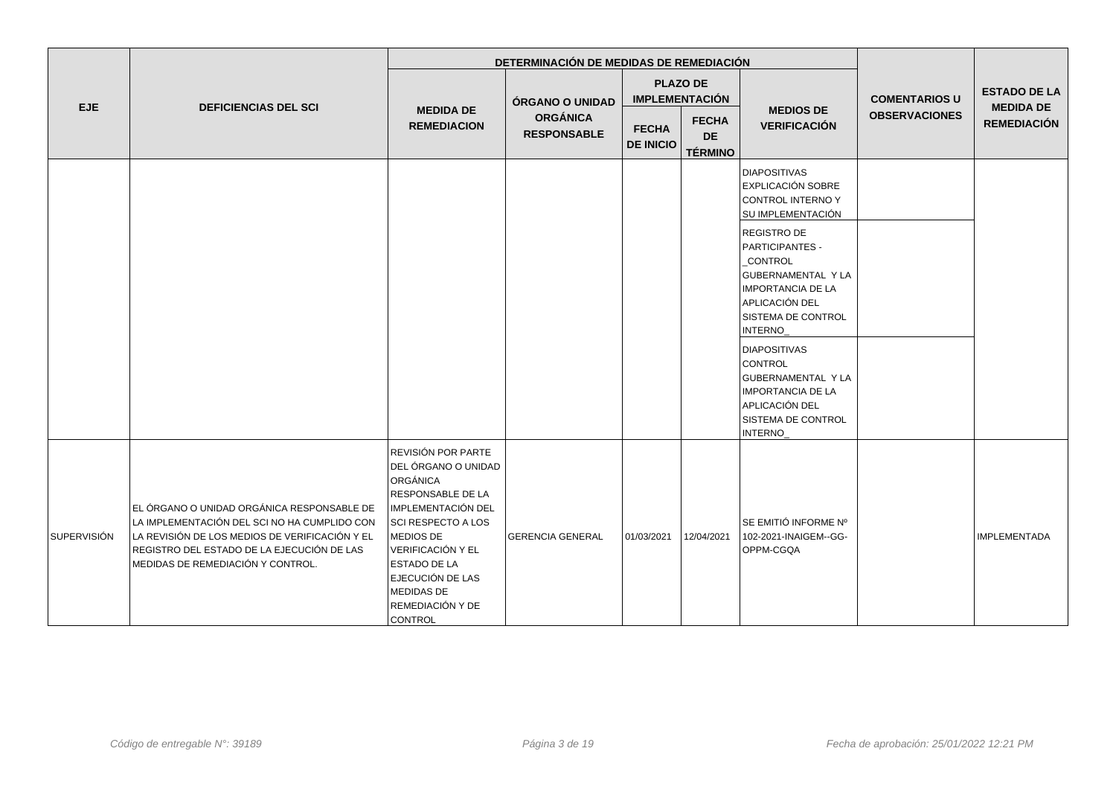|             |                                                                                                                                                                                                                                 |                                                                                                                                                                                                                                                                | DETERMINACIÓN DE MEDIDAS DE REMEDIACIÓN |                                  |                                             |                                                                                                                                                              |                      | <b>ESTADO DE LA</b><br><b>MEDIDA DE</b><br><b>REMEDIACIÓN</b> |
|-------------|---------------------------------------------------------------------------------------------------------------------------------------------------------------------------------------------------------------------------------|----------------------------------------------------------------------------------------------------------------------------------------------------------------------------------------------------------------------------------------------------------------|-----------------------------------------|----------------------------------|---------------------------------------------|--------------------------------------------------------------------------------------------------------------------------------------------------------------|----------------------|---------------------------------------------------------------|
| EJE         | <b>DEFICIENCIAS DEL SCI</b>                                                                                                                                                                                                     |                                                                                                                                                                                                                                                                | ÓRGANO O UNIDAD                         |                                  | <b>PLAZO DE</b><br><b>IMPLEMENTACIÓN</b>    |                                                                                                                                                              | <b>COMENTARIOS U</b> |                                                               |
|             |                                                                                                                                                                                                                                 | <b>MEDIDA DE</b><br><b>REMEDIACION</b>                                                                                                                                                                                                                         | <b>ORGÁNICA</b><br><b>RESPONSABLE</b>   | <b>FECHA</b><br><b>DE INICIO</b> | <b>FECHA</b><br><b>DE</b><br><b>TÉRMINO</b> | <b>MEDIOS DE</b><br><b>VERIFICACIÓN</b>                                                                                                                      | <b>OBSERVACIONES</b> |                                                               |
|             |                                                                                                                                                                                                                                 |                                                                                                                                                                                                                                                                |                                         |                                  |                                             | <b>DIAPOSITIVAS</b><br><b>EXPLICACIÓN SOBRE</b><br>CONTROL INTERNO Y<br>SU IMPLEMENTACIÓN                                                                    |                      |                                                               |
|             |                                                                                                                                                                                                                                 |                                                                                                                                                                                                                                                                |                                         |                                  |                                             | REGISTRO DE<br>PARTICIPANTES -<br><b>CONTROL</b><br><b>GUBERNAMENTAL Y LA</b><br><b>IMPORTANCIA DE LA</b><br>APLICACIÓN DEL<br>SISTEMA DE CONTROL<br>INTERNO |                      |                                                               |
|             |                                                                                                                                                                                                                                 |                                                                                                                                                                                                                                                                |                                         |                                  |                                             | <b>DIAPOSITIVAS</b><br>CONTROL<br>GUBERNAMENTAL Y LA<br><b>IMPORTANCIA DE LA</b><br>APLICACIÓN DEL<br>SISTEMA DE CONTROL<br>INTERNO                          |                      |                                                               |
| SUPERVISIÓN | EL ÓRGANO O UNIDAD ORGÁNICA RESPONSABLE DE<br>LA IMPLEMENTACIÓN DEL SCI NO HA CUMPLIDO CON<br>LA REVISIÓN DE LOS MEDIOS DE VERIFICACIÓN Y EL<br>REGISTRO DEL ESTADO DE LA EJECUCIÓN DE LAS<br>MEDIDAS DE REMEDIACIÓN Y CONTROL. | REVISIÓN POR PARTE<br>DEL ÓRGANO O UNIDAD<br>ORGÁNICA<br>RESPONSABLE DE LA<br>IMPLEMENTACIÓN DEL<br>SCI RESPECTO A LOS<br><b>MEDIOS DE</b><br>VERIFICACIÓN Y EL<br><b>ESTADO DE LA</b><br>EJECUCIÓN DE LAS<br><b>MEDIDAS DE</b><br>REMEDIACIÓN Y DE<br>CONTROL | <b>GERENCIA GENERAL</b>                 | 01/03/2021                       | 12/04/2021                                  | SE EMITIÓ INFORME Nº<br>102-2021-INAIGEM--GG-<br>OPPM-CGQA                                                                                                   |                      | <b>IMPLEMENTADA</b>                                           |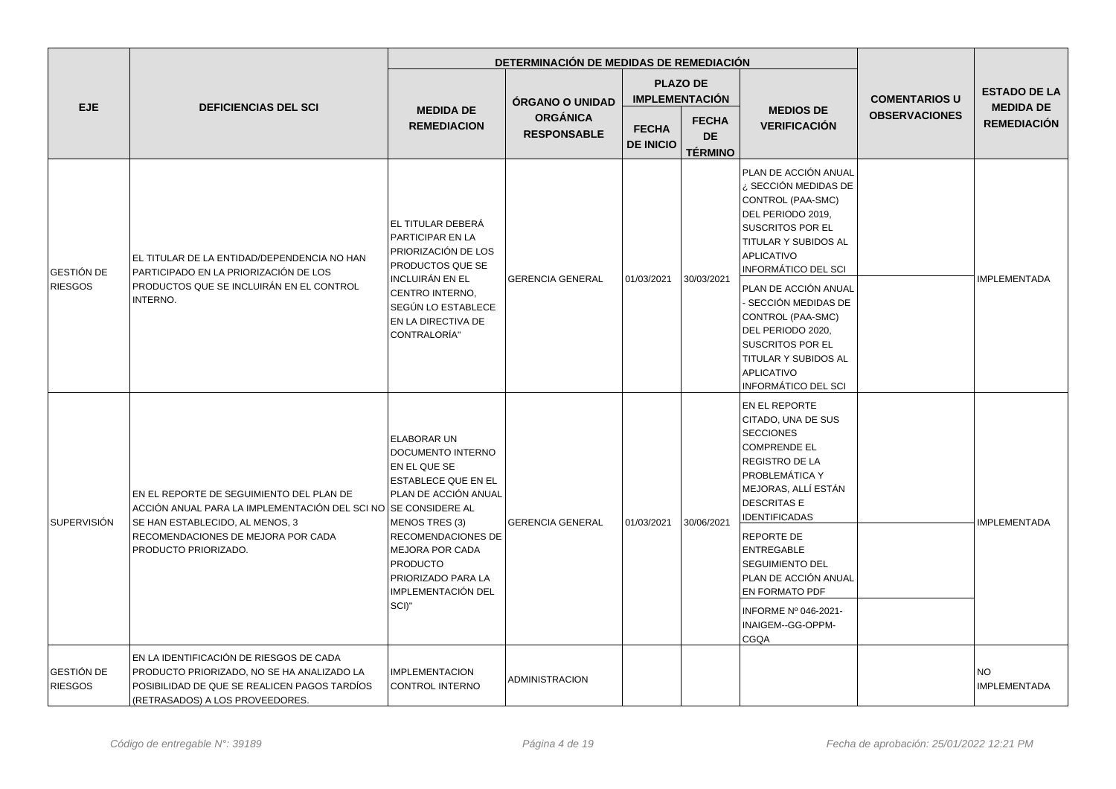|                                     |                                                                                                                                                                          |                                                                                                                                        | DETERMINACIÓN DE MEDIDAS DE REMEDIACIÓN |                                  |                                             |                                                                                                                                                                                                              |                      |                                        |
|-------------------------------------|--------------------------------------------------------------------------------------------------------------------------------------------------------------------------|----------------------------------------------------------------------------------------------------------------------------------------|-----------------------------------------|----------------------------------|---------------------------------------------|--------------------------------------------------------------------------------------------------------------------------------------------------------------------------------------------------------------|----------------------|----------------------------------------|
|                                     |                                                                                                                                                                          |                                                                                                                                        | ÓRGANO O UNIDAD                         |                                  | <b>PLAZO DE</b><br><b>IMPLEMENTACIÓN</b>    |                                                                                                                                                                                                              | <b>COMENTARIOS U</b> | <b>ESTADO DE LA</b>                    |
| <b>EJE</b>                          | <b>DEFICIENCIAS DEL SCI</b>                                                                                                                                              | <b>MEDIDA DE</b><br><b>REMEDIACION</b>                                                                                                 | <b>ORGÁNICA</b><br><b>RESPONSABLE</b>   | <b>FECHA</b><br><b>DE INICIO</b> | <b>FECHA</b><br><b>DE</b><br><b>TÉRMINO</b> | <b>MEDIOS DE</b><br><b>VERIFICACIÓN</b>                                                                                                                                                                      | <b>OBSERVACIONES</b> | <b>MEDIDA DE</b><br><b>REMEDIACIÓN</b> |
| GESTIÓN DE<br><b>RIESGOS</b>        | EL TITULAR DE LA ENTIDAD/DEPENDENCIA NO HAN<br>PARTICIPADO EN LA PRIORIZACIÓN DE LOS                                                                                     | LEL TITULAR DEBERÁ<br>PARTICIPAR EN LA<br><b>PRIORIZACIÓN DE LOS</b><br><b>PRODUCTOS QUE SE</b>                                        |                                         |                                  | 30/03/2021                                  | PLAN DE ACCIÓN ANUAL<br>¿ SECCIÓN MEDIDAS DE<br>CONTROL (PAA-SMC)<br>DEL PERIODO 2019,<br><b>SUSCRITOS POR EL</b><br>TITULAR Y SUBIDOS AL<br>APLICATIVO<br><b>INFORMÁTICO DEL SCI</b>                        |                      | <b>IMPLEMENTADA</b>                    |
|                                     | PRODUCTOS QUE SE INCLUIRÁN EN EL CONTROL<br>INTERNO.                                                                                                                     | <b>INCLUIRÁN EN EL</b><br>CENTRO INTERNO.<br>SEGÚN LO ESTABLECE<br>EN LA DIRECTIVA DE<br>CONTRALORÍA"                                  | <b>GERENCIA GENERAL</b>                 | 01/03/2021                       |                                             | PLAN DE ACCIÓN ANUAL<br>- SECCIÓN MEDIDAS DE<br>CONTROL (PAA-SMC)<br>DEL PERIODO 2020,<br><b>SUSCRITOS POR EL</b><br>TITULAR Y SUBIDOS AL<br>APLICATIVO<br><b>INFORMÁTICO DEL SCI</b>                        |                      |                                        |
| <b>SUPERVISIÓN</b>                  | EN EL REPORTE DE SEGUIMIENTO DEL PLAN DE<br>ACCIÓN ANUAL PARA LA IMPLEMENTACIÓN DEL SCI NO SE CONSIDERE AL<br>SE HAN ESTABLECIDO, AL MENOS, 3                            | <b>ELABORAR UN</b><br>DOCUMENTO INTERNO<br>EN EL QUE SE<br><b>ESTABLECE QUE EN EL</b><br>PLAN DE ACCIÓN ANUAL<br><b>MENOS TRES (3)</b> | <b>GERENCIA GENERAL</b>                 | 01/03/2021                       | 30/06/2021                                  | <b>EN EL REPORTE</b><br>CITADO, UNA DE SUS<br><b>SECCIONES</b><br><b>COMPRENDE EL</b><br><b>REGISTRO DE LA</b><br><b>PROBLEMÁTICA Y</b><br>MEJORAS, ALLÍ ESTÁN<br><b>DESCRITAS E</b><br><b>IDENTIFICADAS</b> |                      | <b>IMPLEMENTADA</b>                    |
|                                     | RECOMENDACIONES DE MEJORA POR CADA<br>PRODUCTO PRIORIZADO.                                                                                                               | <b>RECOMENDACIONES DE</b><br><b>MEJORA POR CADA</b><br><b>PRODUCTO</b><br>PRIORIZADO PARA LA<br>IMPLEMENTACIÓN DEL<br>SCI)"            |                                         |                                  |                                             | REPORTE DE<br>ENTREGABLE<br><b>SEGUIMIENTO DEL</b><br>PLAN DE ACCIÓN ANUAL<br><b>EN FORMATO PDF</b><br>INFORME Nº 046-2021-<br>INAIGEM--GG-OPPM-<br><b>CGQA</b>                                              |                      |                                        |
| <b>GESTIÓN DE</b><br><b>RIESGOS</b> | EN LA IDENTIFICACIÓN DE RIESGOS DE CADA<br>PRODUCTO PRIORIZADO, NO SE HA ANALIZADO LA<br>POSIBILIDAD DE QUE SE REALICEN PAGOS TARDÍOS<br>(RETRASADOS) A LOS PROVEEDORES. | <b>IMPLEMENTACION</b><br>CONTROL INTERNO                                                                                               | ADMINISTRACION                          |                                  |                                             |                                                                                                                                                                                                              |                      | <b>NO</b><br><b>IMPLEMENTADA</b>       |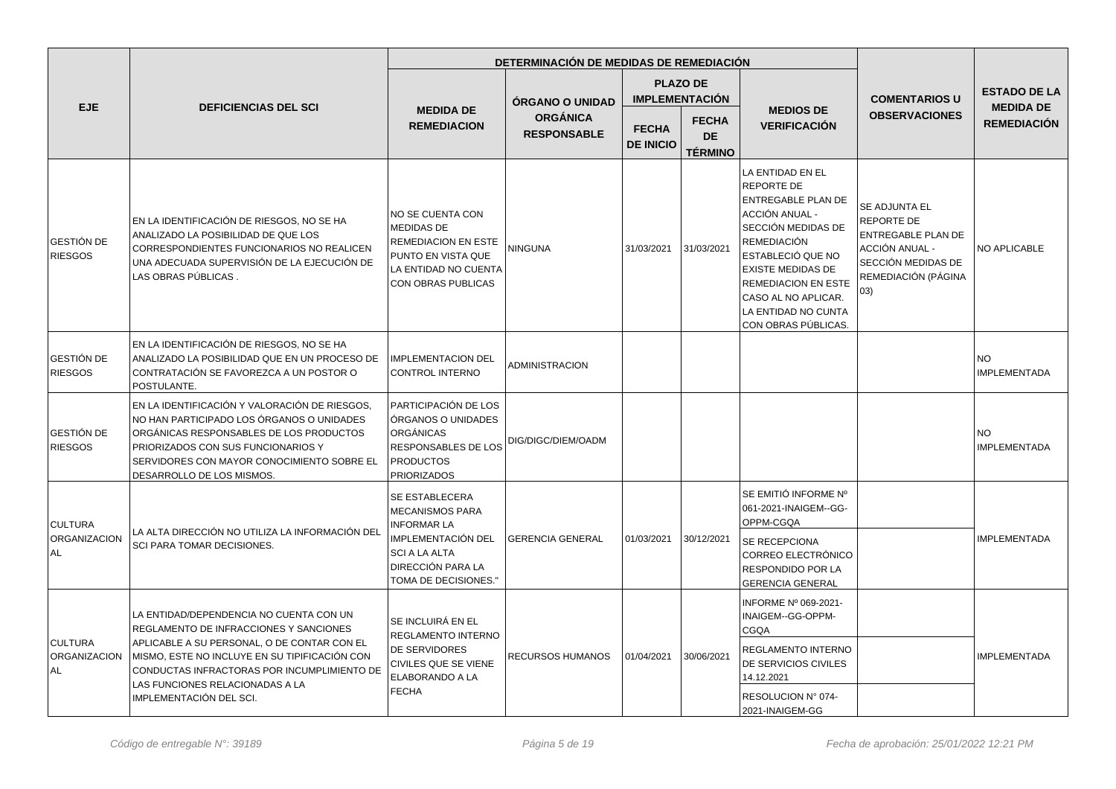|                                              |                                                                                                                                                                                                                                                                                                |                                                                                                                                                                  | DETERMINACIÓN DE MEDIDAS DE REMEDIACIÓN |                                  |                                             |                                                                                                                                                                                                                                                                                      |                                                                                                                                | <b>ESTADO DE LA</b><br><b>MEDIDA DE</b> |
|----------------------------------------------|------------------------------------------------------------------------------------------------------------------------------------------------------------------------------------------------------------------------------------------------------------------------------------------------|------------------------------------------------------------------------------------------------------------------------------------------------------------------|-----------------------------------------|----------------------------------|---------------------------------------------|--------------------------------------------------------------------------------------------------------------------------------------------------------------------------------------------------------------------------------------------------------------------------------------|--------------------------------------------------------------------------------------------------------------------------------|-----------------------------------------|
|                                              |                                                                                                                                                                                                                                                                                                |                                                                                                                                                                  | <b>ÓRGANO O UNIDAD</b>                  |                                  | <b>PLAZO DE</b><br><b>IMPLEMENTACIÓN</b>    |                                                                                                                                                                                                                                                                                      | <b>COMENTARIOS U</b>                                                                                                           |                                         |
| <b>EJE</b>                                   | <b>DEFICIENCIAS DEL SCI</b>                                                                                                                                                                                                                                                                    | <b>MEDIDA DE</b><br><b>REMEDIACION</b>                                                                                                                           | <b>ORGÁNICA</b><br><b>RESPONSABLE</b>   | <b>FECHA</b><br><b>DE INICIO</b> | <b>FECHA</b><br><b>DE</b><br><b>TÉRMINO</b> | <b>MEDIOS DE</b><br><b>VERIFICACIÓN</b>                                                                                                                                                                                                                                              | <b>OBSERVACIONES</b>                                                                                                           | <b>REMEDIACIÓN</b>                      |
| GESTIÓN DE<br><b>RIESGOS</b>                 | EN LA IDENTIFICACIÓN DE RIESGOS, NO SE HA<br>ANALIZADO LA POSIBILIDAD DE QUE LOS<br>CORRESPONDIENTES FUNCIONARIOS NO REALICEN<br>UNA ADECUADA SUPERVISIÓN DE LA EJECUCIÓN DE<br>LAS OBRAS PÚBLICAS.                                                                                            | NO SE CUENTA CON<br><b>MEDIDAS DE</b><br><b>REMEDIACION EN ESTE</b><br>PUNTO EN VISTA QUE<br>LA ENTIDAD NO CUENTA<br>CON OBRAS PUBLICAS                          | <b>NINGUNA</b>                          | 31/03/2021                       | 31/03/2021                                  | LA ENTIDAD EN EL<br><b>REPORTE DE</b><br>ENTREGABLE PLAN DE<br>ACCIÓN ANUAL -<br>SECCIÓN MEDIDAS DE<br><b>REMEDIACIÓN</b><br><b>ESTABLECIÓ QUE NO</b><br><b>EXISTE MEDIDAS DE</b><br><b>REMEDIACION EN ESTE</b><br>CASO AL NO APLICAR.<br>LA ENTIDAD NO CUNTA<br>CON OBRAS PÚBLICAS. | SE ADJUNTA EL<br><b>REPORTE DE</b><br>ENTREGABLE PLAN DE<br>ACCIÓN ANUAL -<br>SECCIÓN MEDIDAS DE<br>REMEDIACIÓN (PÁGINA<br>03) | <b>NO APLICABLE</b>                     |
| <b>GESTIÓN DE</b><br><b>RIESGOS</b>          | EN LA IDENTIFICACIÓN DE RIESGOS, NO SE HA<br>ANALIZADO LA POSIBILIDAD QUE EN UN PROCESO DE<br>CONTRATACIÓN SE FAVOREZCA A UN POSTOR O<br>POSTULANTE.                                                                                                                                           | <b>IMPLEMENTACION DEL</b><br><b>CONTROL INTERNO</b>                                                                                                              | <b>ADMINISTRACION</b>                   |                                  |                                             |                                                                                                                                                                                                                                                                                      |                                                                                                                                | <b>NO</b><br><b>IMPLEMENTADA</b>        |
| <b>GESTIÓN DE</b><br><b>RIESGOS</b>          | EN LA IDENTIFICACIÓN Y VALORACIÓN DE RIESGOS,<br>NO HAN PARTICIPADO LOS ÓRGANOS O UNIDADES<br>ORGÁNICAS RESPONSABLES DE LOS PRODUCTOS<br>PRIORIZADOS CON SUS FUNCIONARIOS Y<br>SERVIDORES CON MAYOR CONOCIMIENTO SOBRE EL<br>DESARROLLO DE LOS MISMOS.                                         | PARTICIPACIÓN DE LOS<br>ÓRGANOS O UNIDADES<br><b>ORGÁNICAS</b><br><b>RESPONSABLES DE LOS</b><br><b>PRODUCTOS</b><br><b>PRIORIZADOS</b>                           | DIG/DIGC/DIEM/OADM                      |                                  |                                             |                                                                                                                                                                                                                                                                                      |                                                                                                                                | <b>NO</b><br><b>IMPLEMENTADA</b>        |
| <b>CULTURA</b><br><b>ORGANIZACION</b><br>AL. | LA ALTA DIRECCIÓN NO UTILIZA LA INFORMACIÓN DEL<br>SCI PARA TOMAR DECISIONES.                                                                                                                                                                                                                  | SE ESTABLECERA<br><b>MECANISMOS PARA</b><br><b>INFORMAR LA</b><br>IMPLEMENTACIÓN DEL<br><b>SCI A LA ALTA</b><br><b>DIRECCIÓN PARA LA</b><br>TOMA DE DECISIONES." | <b>GERENCIA GENERAL</b>                 | 01/03/2021                       | 30/12/2021                                  | SE EMITIÓ INFORME Nº<br>061-2021-INAIGEM--GG-<br>OPPM-CGQA<br>SE RECEPCIONA<br>CORREO ELECTRÓNICO<br>RESPONDIDO POR LA<br><b>GERENCIA GENERAL</b>                                                                                                                                    |                                                                                                                                | <b>IMPLEMENTADA</b>                     |
| <b>CULTURA</b><br>ORGANIZACION<br>AL         | LA ENTIDAD/DEPENDENCIA NO CUENTA CON UN<br>REGLAMENTO DE INFRACCIONES Y SANCIONES<br>APLICABLE A SU PERSONAL, O DE CONTAR CON EL<br>MISMO, ESTE NO INCLUYE EN SU TIPIFICACIÓN CON<br>CONDUCTAS INFRACTORAS POR INCUMPLIMIENTO DE<br>LAS FUNCIONES RELACIONADAS A LA<br>IMPLEMENTACIÓN DEL SCI. | SE INCLUIRÁ EN EL<br><b>REGLAMENTO INTERNO</b><br><b>DE SERVIDORES</b><br>CIVILES QUE SE VIENE<br>ELABORANDO A LA<br><b>FECHA</b>                                | RECURSOS HUMANOS                        | 01/04/2021                       | 30/06/2021                                  | INFORME Nº 069-2021-<br>INAIGEM--GG-OPPM-<br>CGQA<br>REGLAMENTO INTERNO<br>DE SERVICIOS CIVILES<br>14.12.2021<br>RESOLUCION Nº 074-<br>2021-INAIGEM-GG                                                                                                                               |                                                                                                                                | <b>IMPLEMENTADA</b>                     |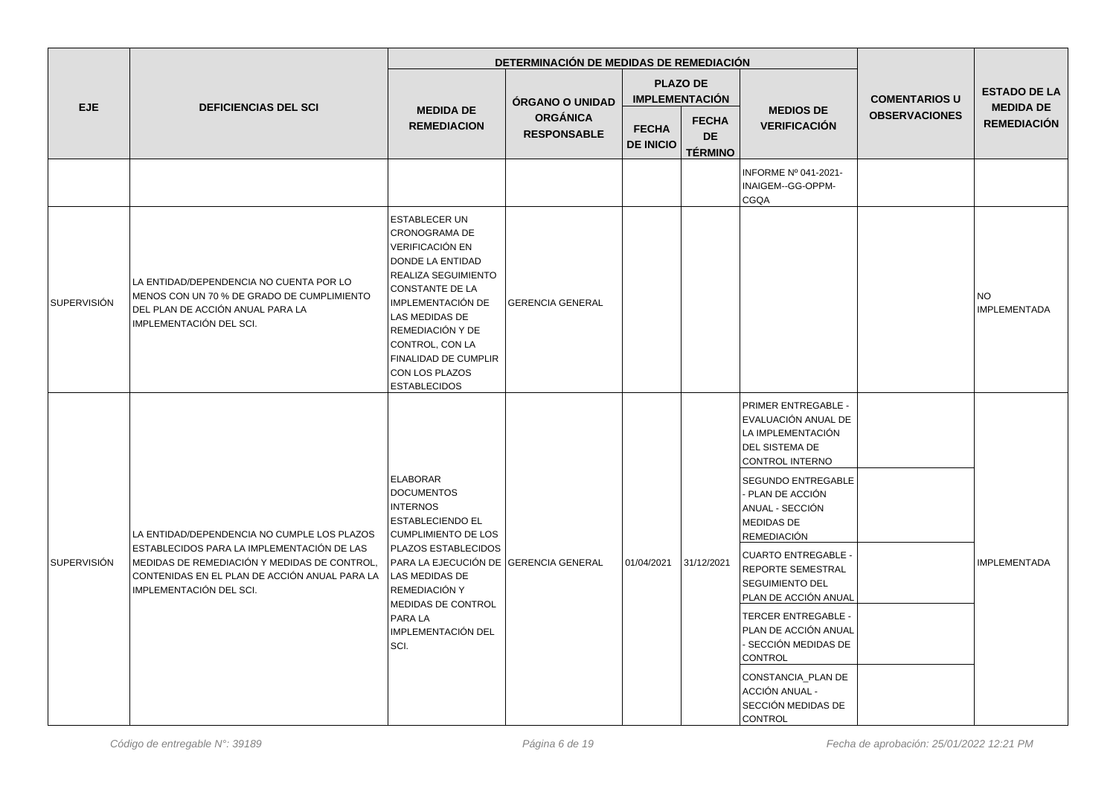|                    |                                                                                                                                                                                                                       |                                                                                                                                                                                                                                                                                     | DETERMINACIÓN DE MEDIDAS DE REMEDIACIÓN |                                  |                                             |                                                                                                                                                                                                                                                                                                                                                                                                                                 |                      |                                        |
|--------------------|-----------------------------------------------------------------------------------------------------------------------------------------------------------------------------------------------------------------------|-------------------------------------------------------------------------------------------------------------------------------------------------------------------------------------------------------------------------------------------------------------------------------------|-----------------------------------------|----------------------------------|---------------------------------------------|---------------------------------------------------------------------------------------------------------------------------------------------------------------------------------------------------------------------------------------------------------------------------------------------------------------------------------------------------------------------------------------------------------------------------------|----------------------|----------------------------------------|
|                    |                                                                                                                                                                                                                       |                                                                                                                                                                                                                                                                                     | ÓRGANO O UNIDAD                         |                                  | <b>PLAZO DE</b><br><b>IMPLEMENTACIÓN</b>    |                                                                                                                                                                                                                                                                                                                                                                                                                                 | <b>COMENTARIOS U</b> | <b>ESTADO DE LA</b>                    |
| <b>EJE</b>         | <b>DEFICIENCIAS DEL SCI</b>                                                                                                                                                                                           | <b>MEDIDA DE</b><br><b>REMEDIACION</b>                                                                                                                                                                                                                                              | <b>ORGÁNICA</b><br><b>RESPONSABLE</b>   | <b>FECHA</b><br><b>DE INICIO</b> | <b>FECHA</b><br><b>DE</b><br><b>TÉRMINO</b> | <b>MEDIOS DE</b><br><b>VERIFICACIÓN</b>                                                                                                                                                                                                                                                                                                                                                                                         | <b>OBSERVACIONES</b> | <b>MEDIDA DE</b><br><b>REMEDIACIÓN</b> |
|                    |                                                                                                                                                                                                                       |                                                                                                                                                                                                                                                                                     |                                         |                                  |                                             | INFORME Nº 041-2021-<br>INAIGEM--GG-OPPM-<br><b>CGQA</b>                                                                                                                                                                                                                                                                                                                                                                        |                      |                                        |
| <b>SUPERVISIÓN</b> | LA ENTIDAD/DEPENDENCIA NO CUENTA POR LO<br>MENOS CON UN 70 % DE GRADO DE CUMPLIMIENTO<br>DEL PLAN DE ACCIÓN ANUAL PARA LA<br>IMPLEMENTACIÓN DEL SCI.                                                                  | <b>ESTABLECER UN</b><br>CRONOGRAMA DE<br>VERIFICACIÓN EN<br><b>DONDE LA ENTIDAD</b><br>REALIZA SEGUIMIENTO<br>CONSTANTE DE LA<br>IMPLEMENTACIÓN DE<br>LAS MEDIDAS DE<br>REMEDIACIÓN Y DE<br>CONTROL, CON LA<br><b>FINALIDAD DE CUMPLIR</b><br>CON LOS PLAZOS<br><b>ESTABLECIDOS</b> | <b>GERENCIA GENERAL</b>                 |                                  |                                             |                                                                                                                                                                                                                                                                                                                                                                                                                                 |                      | <b>NO</b><br><b>IMPLEMENTADA</b>       |
| <b>SUPERVISIÓN</b> | LA ENTIDAD/DEPENDENCIA NO CUMPLE LOS PLAZOS<br>ESTABLECIDOS PARA LA IMPLEMENTACIÓN DE LAS<br>MEDIDAS DE REMEDIACIÓN Y MEDIDAS DE CONTROL,<br>CONTENIDAS EN EL PLAN DE ACCIÓN ANUAL PARA LA<br>IMPLEMENTACIÓN DEL SCI. | <b>ELABORAR</b><br><b>DOCUMENTOS</b><br><b>INTERNOS</b><br><b>ESTABLECIENDO EL</b><br>CUMPLIMIENTO DE LOS<br>PLAZOS ESTABLECIDOS<br>PARA LA EJECUCIÓN DE GERENCIA GENERAL<br>LAS MEDIDAS DE<br>REMEDIACIÓN Y<br>MEDIDAS DE CONTROL<br><b>PARA LA</b><br>IMPLEMENTACIÓN DEL<br>SCI.  |                                         | 01/04/2021                       | 31/12/2021                                  | PRIMER ENTREGABLE -<br>EVALUACIÓN ANUAL DE<br>LA IMPLEMENTACIÓN<br><b>DEL SISTEMA DE</b><br><b>CONTROL INTERNO</b><br><b>SEGUNDO ENTREGABLE</b><br>- PLAN DE ACCIÓN<br>ANUAL - SECCIÓN<br><b>MEDIDAS DE</b><br><b>REMEDIACIÓN</b><br><b>CUARTO ENTREGABLE -</b><br>REPORTE SEMESTRAL<br><b>SEGUIMIENTO DEL</b><br>PLAN DE ACCIÓN ANUAL<br><b>TERCER ENTREGABLE -</b><br>PLAN DE ACCIÓN ANUAL<br>- SECCIÓN MEDIDAS DE<br>CONTROL |                      | <b>IMPLEMENTADA</b>                    |
|                    |                                                                                                                                                                                                                       |                                                                                                                                                                                                                                                                                     |                                         |                                  |                                             | CONSTANCIA_PLAN DE<br>ACCIÓN ANUAL -<br>SECCIÓN MEDIDAS DE<br>CONTROL                                                                                                                                                                                                                                                                                                                                                           |                      |                                        |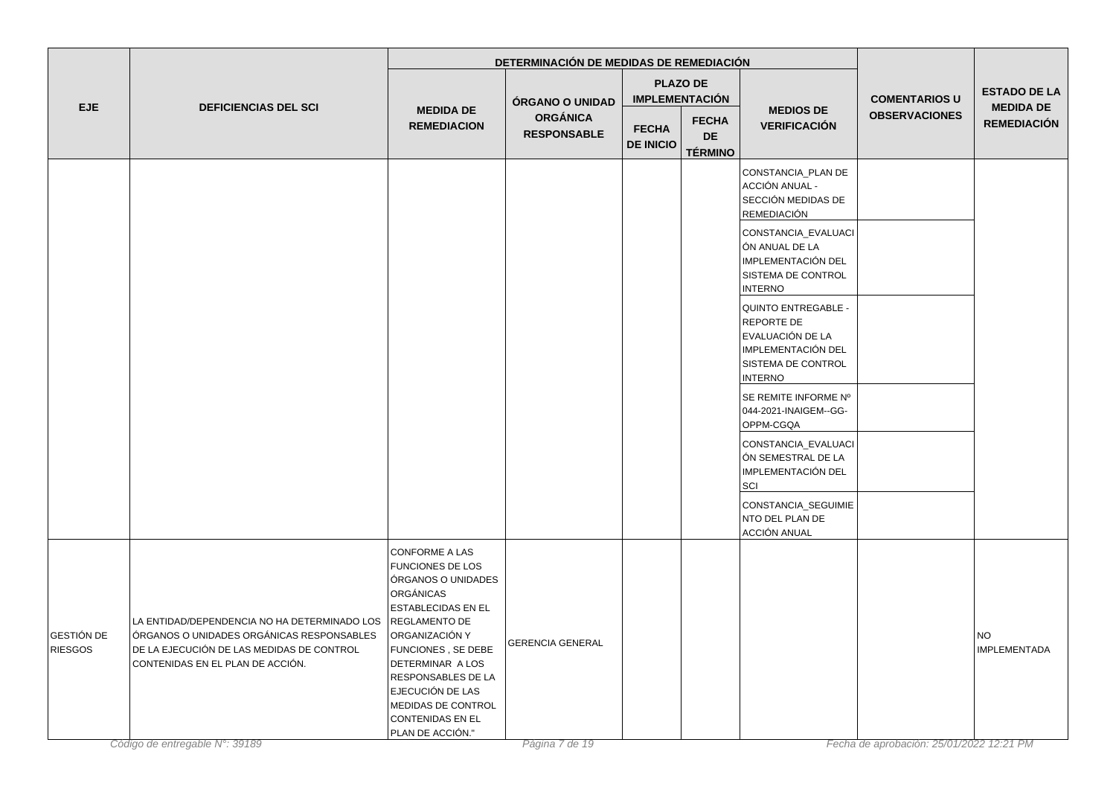|                              |                                                                                                                                                                            |                                                                                                                                                                                                                                                                                                       | DETERMINACIÓN DE MEDIDAS DE REMEDIACIÓN |                                  |                                             |                                                                                                                            |                      |                                                               |
|------------------------------|----------------------------------------------------------------------------------------------------------------------------------------------------------------------------|-------------------------------------------------------------------------------------------------------------------------------------------------------------------------------------------------------------------------------------------------------------------------------------------------------|-----------------------------------------|----------------------------------|---------------------------------------------|----------------------------------------------------------------------------------------------------------------------------|----------------------|---------------------------------------------------------------|
|                              |                                                                                                                                                                            |                                                                                                                                                                                                                                                                                                       | ÓRGANO O UNIDAD                         |                                  | <b>PLAZO DE</b><br><b>IMPLEMENTACIÓN</b>    |                                                                                                                            | <b>COMENTARIOS U</b> | <b>ESTADO DE LA</b><br><b>MEDIDA DE</b><br><b>REMEDIACIÓN</b> |
| <b>EJE</b>                   | <b>DEFICIENCIAS DEL SCI</b>                                                                                                                                                | <b>MEDIDA DE</b><br><b>REMEDIACION</b>                                                                                                                                                                                                                                                                | <b>ORGÁNICA</b><br><b>RESPONSABLE</b>   | <b>FECHA</b><br><b>DE INICIO</b> | <b>FECHA</b><br><b>DE</b><br><b>TÉRMINO</b> | <b>MEDIOS DE</b><br><b>VERIFICACIÓN</b>                                                                                    | <b>OBSERVACIONES</b> |                                                               |
|                              |                                                                                                                                                                            |                                                                                                                                                                                                                                                                                                       |                                         |                                  |                                             | CONSTANCIA_PLAN DE<br>ACCIÓN ANUAL -<br>SECCIÓN MEDIDAS DE<br><b>REMEDIACIÓN</b>                                           |                      |                                                               |
|                              |                                                                                                                                                                            |                                                                                                                                                                                                                                                                                                       |                                         |                                  |                                             | CONSTANCIA_EVALUACI<br>ÓN ANUAL DE LA<br>IMPLEMENTACIÓN DEL<br>SISTEMA DE CONTROL<br><b>INTERNO</b>                        |                      |                                                               |
|                              |                                                                                                                                                                            |                                                                                                                                                                                                                                                                                                       |                                         |                                  |                                             | <b>QUINTO ENTREGABLE -</b><br>REPORTE DE<br>EVALUACIÓN DE LA<br>IMPLEMENTACIÓN DEL<br>SISTEMA DE CONTROL<br><b>INTERNO</b> |                      |                                                               |
|                              |                                                                                                                                                                            |                                                                                                                                                                                                                                                                                                       |                                         |                                  |                                             | SE REMITE INFORME Nº<br>044-2021-INAIGEM--GG-<br>OPPM-CGQA                                                                 |                      |                                                               |
|                              |                                                                                                                                                                            |                                                                                                                                                                                                                                                                                                       |                                         |                                  |                                             | CONSTANCIA_EVALUACI<br>ÓN SEMESTRAL DE LA<br>IMPLEMENTACIÓN DEL<br>SCI                                                     |                      |                                                               |
|                              |                                                                                                                                                                            |                                                                                                                                                                                                                                                                                                       |                                         |                                  |                                             | CONSTANCIA_SEGUIMIE<br>NTO DEL PLAN DE<br>ACCIÓN ANUAL                                                                     |                      |                                                               |
| GESTIÓN DE<br><b>RIESGOS</b> | LA ENTIDAD/DEPENDENCIA NO HA DETERMINADO LOS<br>ÓRGANOS O UNIDADES ORGÁNICAS RESPONSABLES<br>DE LA EJECUCIÓN DE LAS MEDIDAS DE CONTROL<br>CONTENIDAS EN EL PLAN DE ACCIÓN. | CONFORME A LAS<br><b>FUNCIONES DE LOS</b><br>ÓRGANOS O UNIDADES<br>ORGÁNICAS<br><b>ESTABLECIDAS EN EL</b><br><b>REGLAMENTO DE</b><br>ORGANIZACIÓN Y<br>FUNCIONES, SE DEBE<br>DETERMINAR A LOS<br>RESPONSABLES DE LA<br>EJECUCIÓN DE LAS<br>MEDIDAS DE CONTROL<br>CONTENIDAS EN EL<br>PLAN DE ACCIÓN." | <b>GERENCIA GENERAL</b>                 |                                  |                                             |                                                                                                                            |                      | <b>NO</b><br><b>IMPLEMENTADA</b>                              |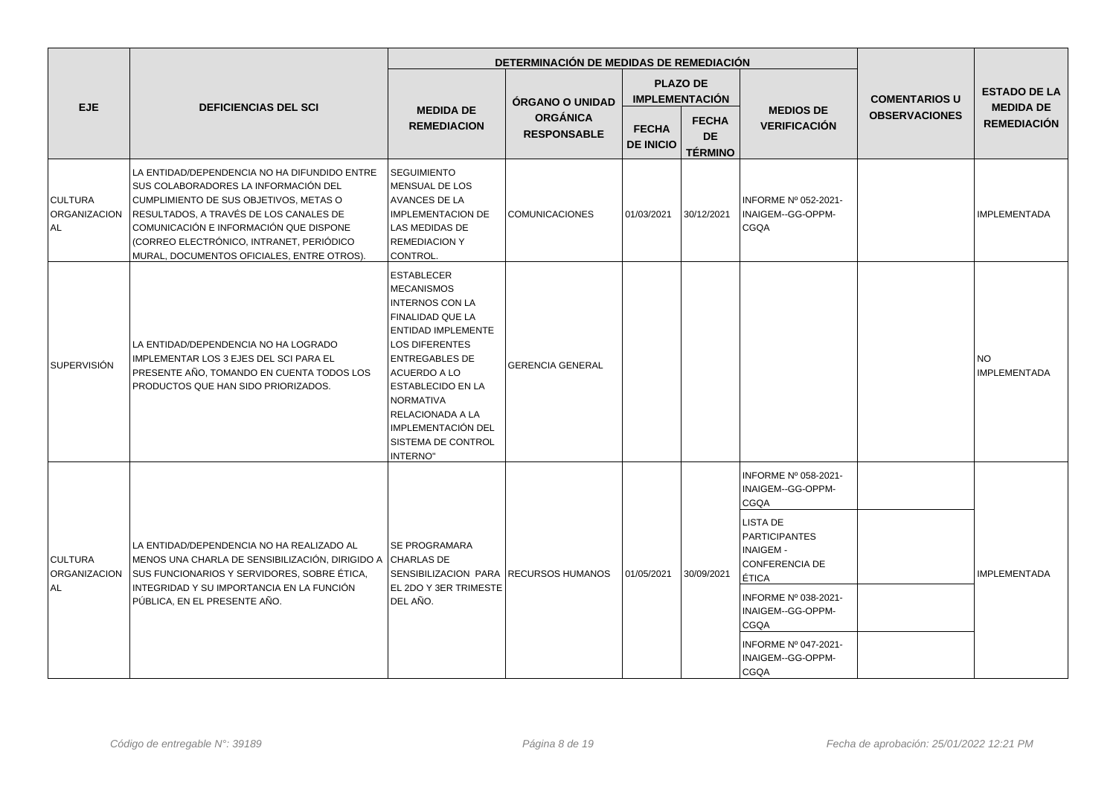|                                               |                                                                                                                                                                                                                                                                                                              |                                                                                                                                                                                                                                                                                                          | DETERMINACIÓN DE MEDIDAS DE REMEDIACIÓN |                                  |                                             |                                                                                                                                                                                                                                                      |                      |                                                                                                   |
|-----------------------------------------------|--------------------------------------------------------------------------------------------------------------------------------------------------------------------------------------------------------------------------------------------------------------------------------------------------------------|----------------------------------------------------------------------------------------------------------------------------------------------------------------------------------------------------------------------------------------------------------------------------------------------------------|-----------------------------------------|----------------------------------|---------------------------------------------|------------------------------------------------------------------------------------------------------------------------------------------------------------------------------------------------------------------------------------------------------|----------------------|---------------------------------------------------------------------------------------------------|
|                                               |                                                                                                                                                                                                                                                                                                              |                                                                                                                                                                                                                                                                                                          | <b>ÓRGANO O UNIDAD</b>                  |                                  | <b>PLAZO DE</b><br><b>IMPLEMENTACIÓN</b>    |                                                                                                                                                                                                                                                      | <b>COMENTARIOS U</b> | <b>ESTADO DE LA</b><br><b>MEDIDA DE</b><br><b>REMEDIACIÓN</b><br><b>NO</b><br><b>IMPLEMENTADA</b> |
| <b>EJE</b>                                    | <b>DEFICIENCIAS DEL SCI</b>                                                                                                                                                                                                                                                                                  | <b>MEDIDA DE</b><br><b>REMEDIACION</b>                                                                                                                                                                                                                                                                   | <b>ORGÁNICA</b><br><b>RESPONSABLE</b>   | <b>FECHA</b><br><b>DE INICIO</b> | <b>FECHA</b><br><b>DE</b><br><b>TÉRMINO</b> | <b>MEDIOS DE</b><br><b>VERIFICACIÓN</b>                                                                                                                                                                                                              | <b>OBSERVACIONES</b> |                                                                                                   |
| <b>CULTURA</b><br>ORGANIZACION<br>AL.         | LA ENTIDAD/DEPENDENCIA NO HA DIFUNDIDO ENTRE<br>SUS COLABORADORES LA INFORMACIÓN DEL<br>CUMPLIMIENTO DE SUS OBJETIVOS, METAS O<br>RESULTADOS, A TRAVÉS DE LOS CANALES DE<br>COMUNICACIÓN E INFORMACIÓN QUE DISPONE<br>(CORREO ELECTRÓNICO, INTRANET, PERIÓDICO<br>MURAL, DOCUMENTOS OFICIALES, ENTRE OTROS). | <b>SEGUIMIENTO</b><br>MENSUAL DE LOS<br>AVANCES DE LA<br><b>IMPLEMENTACION DE</b><br>LAS MEDIDAS DE<br><b>REMEDIACION Y</b><br>CONTROL.                                                                                                                                                                  | <b>COMUNICACIONES</b>                   | 01/03/2021                       | 30/12/2021                                  | INFORME Nº 052-2021-<br>INAIGEM--GG-OPPM-<br>CGQA                                                                                                                                                                                                    |                      | <b>IMPLEMENTADA</b>                                                                               |
| l SUPERVISIÓN                                 | LA ENTIDAD/DEPENDENCIA NO HA LOGRADO<br>IMPLEMENTAR LOS 3 EJES DEL SCI PARA EL<br>PRESENTE AÑO, TOMANDO EN CUENTA TODOS LOS<br>PRODUCTOS QUE HAN SIDO PRIORIZADOS.                                                                                                                                           | <b>ESTABLECER</b><br><b>MECANISMOS</b><br><b>INTERNOS CON LA</b><br>FINALIDAD QUE LA<br><b>ENTIDAD IMPLEMENTE</b><br><b>LOS DIFERENTES</b><br><b>ENTREGABLES DE</b><br>ACUERDO A LO<br>ESTABLECIDO EN LA<br><b>NORMATIVA</b><br>RELACIONADA A LA<br>IMPLEMENTACIÓN DEL<br>SISTEMA DE CONTROL<br>INTERNO" | <b>GERENCIA GENERAL</b>                 |                                  |                                             |                                                                                                                                                                                                                                                      |                      | IMPLEMENTADA                                                                                      |
| <b>CULTURA</b><br><b>ORGANIZACION</b><br>ALL. | LA ENTIDAD/DEPENDENCIA NO HA REALIZADO AL<br>MENOS UNA CHARLA DE SENSIBILIZACIÓN, DIRIGIDO A CHARLAS DE<br>SUS FUNCIONARIOS Y SERVIDORES, SOBRE ÉTICA,<br>INTEGRIDAD Y SU IMPORTANCIA EN LA FUNCIÓN<br>PÚBLICA, EN EL PRESENTE AÑO.                                                                          | <b>SE PROGRAMARA</b><br>SENSIBILIZACION PARA RECURSOS HUMANOS<br>EL 2DO Y 3ER TRIMESTE<br>DEL AÑO.                                                                                                                                                                                                       |                                         | 01/05/2021                       | 30/09/2021                                  | INFORME Nº 058-2021-<br>INAIGEM--GG-OPPM-<br>CGQA<br>LISTA DE<br><b>PARTICIPANTES</b><br><b>INAIGEM-</b><br><b>CONFERENCIA DE</b><br>ÉTICA<br>INFORME Nº 038-2021-<br>INAIGEM--GG-OPPM-<br>CGQA<br>INFORME Nº 047-2021-<br>INAIGEM--GG-OPPM-<br>CGQA |                      |                                                                                                   |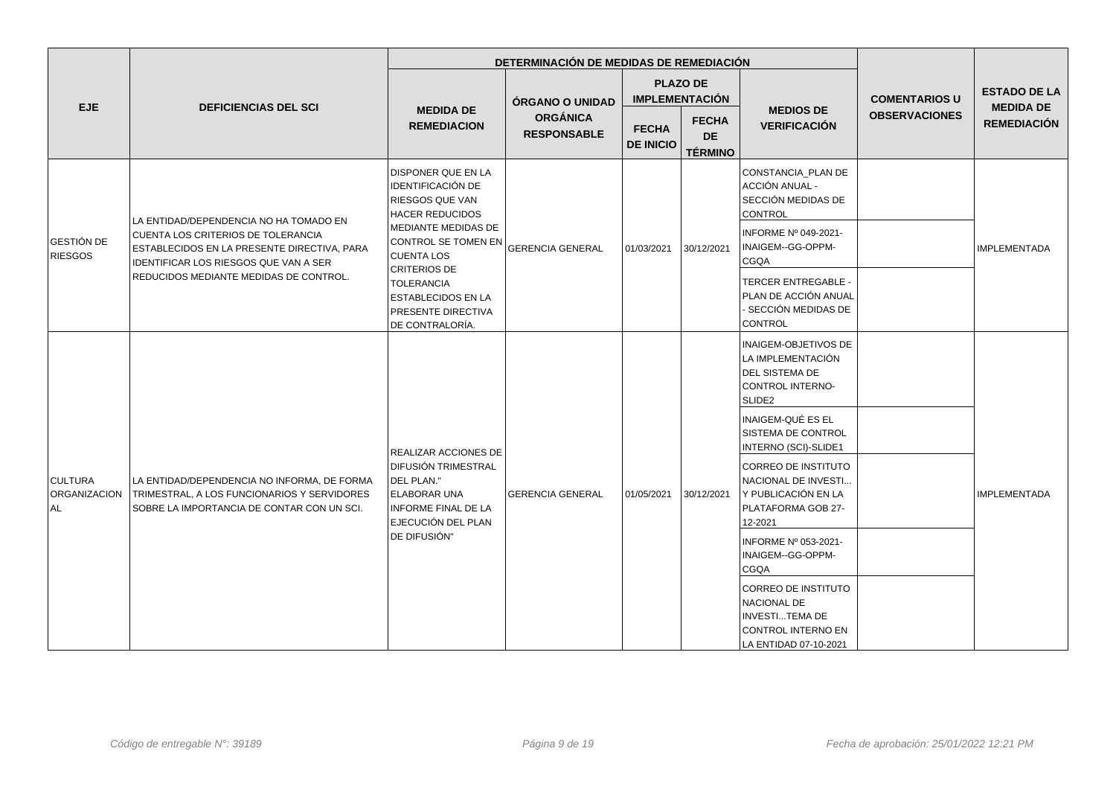|                                             |                                                                                                                                          |                                                                                                                                                        | DETERMINACIÓN DE MEDIDAS DE REMEDIACIÓN |                                  |                                                          |                                                                                                           |                                                                                                            |                                                               |
|---------------------------------------------|------------------------------------------------------------------------------------------------------------------------------------------|--------------------------------------------------------------------------------------------------------------------------------------------------------|-----------------------------------------|----------------------------------|----------------------------------------------------------|-----------------------------------------------------------------------------------------------------------|------------------------------------------------------------------------------------------------------------|---------------------------------------------------------------|
| <b>EJE</b>                                  | <b>DEFICIENCIAS DEL SCI</b>                                                                                                              | <b>MEDIDA DE</b>                                                                                                                                       | ÓRGANO O UNIDAD<br><b>ORGÁNICA</b>      |                                  | <b>PLAZO DE</b><br><b>IMPLEMENTACIÓN</b><br><b>FECHA</b> | <b>MEDIOS DE</b>                                                                                          | <b>COMENTARIOS U</b><br><b>OBSERVACIONES</b>                                                               | <b>ESTADO DE LA</b><br><b>MEDIDA DE</b><br><b>REMEDIACIÓN</b> |
|                                             |                                                                                                                                          | <b>REMEDIACION</b>                                                                                                                                     | <b>RESPONSABLE</b>                      | <b>FECHA</b><br><b>DE INICIO</b> | <b>DE</b><br><b>TÉRMINO</b>                              | <b>VERIFICACIÓN</b>                                                                                       |                                                                                                            |                                                               |
|                                             | LA ENTIDAD/DEPENDENCIA NO HA TOMADO EN                                                                                                   | DISPONER QUE EN LA<br><b>IDENTIFICACIÓN DE</b><br><b>RIESGOS QUE VAN</b><br><b>HACER REDUCIDOS</b>                                                     |                                         |                                  |                                                          | CONSTANCIA_PLAN DE<br>ACCIÓN ANUAL -<br>SECCIÓN MEDIDAS DE<br>CONTROL                                     |                                                                                                            |                                                               |
| <b>GESTIÓN DE</b><br><b>RIESGOS</b>         | CUENTA LOS CRITERIOS DE TOLERANCIA<br>ESTABLECIDOS EN LA PRESENTE DIRECTIVA, PARA<br>IDENTIFICAR LOS RIESGOS QUE VAN A SER               | MEDIANTE MEDIDAS DE<br>CONTROL SE TOMEN EN<br><b>CUENTA LOS</b>                                                                                        | <b>GERENCIA GENERAL</b>                 | 01/03/2021                       | 30/12/2021                                               | INFORME Nº 049-2021-<br>INAIGEM--GG-OPPM-<br>CGQA                                                         |                                                                                                            | <b>IMPLEMENTADA</b>                                           |
|                                             | REDUCIDOS MEDIANTE MEDIDAS DE CONTROL.                                                                                                   | <b>CRITERIOS DE</b><br><b>TOLERANCIA</b><br><b>ESTABLECIDOS EN LA</b><br>PRESENTE DIRECTIVA<br>DE CONTRALORÍA.                                         |                                         |                                  |                                                          | <b>TERCER ENTREGABLE -</b><br>PLAN DE ACCIÓN ANUAL<br>- SECCIÓN MEDIDAS DE<br><b>CONTROL</b>              |                                                                                                            |                                                               |
|                                             |                                                                                                                                          |                                                                                                                                                        |                                         |                                  |                                                          | INAIGEM-OBJETIVOS DE<br>LA IMPLEMENTACIÓN<br>DEL SISTEMA DE<br>CONTROL INTERNO-<br>SLIDE2                 |                                                                                                            |                                                               |
|                                             |                                                                                                                                          |                                                                                                                                                        |                                         |                                  |                                                          | INAIGEM-QUÉ ES EL<br>SISTEMA DE CONTROL<br>INTERNO (SCI)-SLIDE1                                           |                                                                                                            |                                                               |
| <b>CULTURA</b><br><b>ORGANIZACION</b><br>AL | LA ENTIDAD/DEPENDENCIA NO INFORMA, DE FORMA<br>TRIMESTRAL, A LOS FUNCIONARIOS Y SERVIDORES<br>SOBRE LA IMPORTANCIA DE CONTAR CON UN SCI. | REALIZAR ACCIONES DE<br>Í DIFUSIÓN TRIMESTRAL<br>DEL PLAN."<br><b>ELABORAR UNA</b><br><b>INFORME FINAL DE LA</b><br>EJECUCIÓN DEL PLAN<br>DE DIFUSIÓN" | <b>GERENCIA GENERAL</b>                 | 01/05/2021                       | 30/12/2021                                               | <b>CORREO DE INSTITUTO</b><br>NACIONAL DE INVESTI<br>Y PUBLICACIÓN EN LA<br>PLATAFORMA GOB 27-<br>12-2021 |                                                                                                            | <b>IMPLEMENTADA</b>                                           |
|                                             |                                                                                                                                          |                                                                                                                                                        |                                         |                                  |                                                          | INFORME Nº 053-2021-<br>INAIGEM--GG-OPPM-<br><b>CGQA</b>                                                  |                                                                                                            |                                                               |
|                                             |                                                                                                                                          |                                                                                                                                                        |                                         |                                  |                                                          |                                                                                                           | CORREO DE INSTITUTO<br>NACIONAL DE<br><b>INVESTITEMA DE</b><br>CONTROL INTERNO EN<br>LA ENTIDAD 07-10-2021 |                                                               |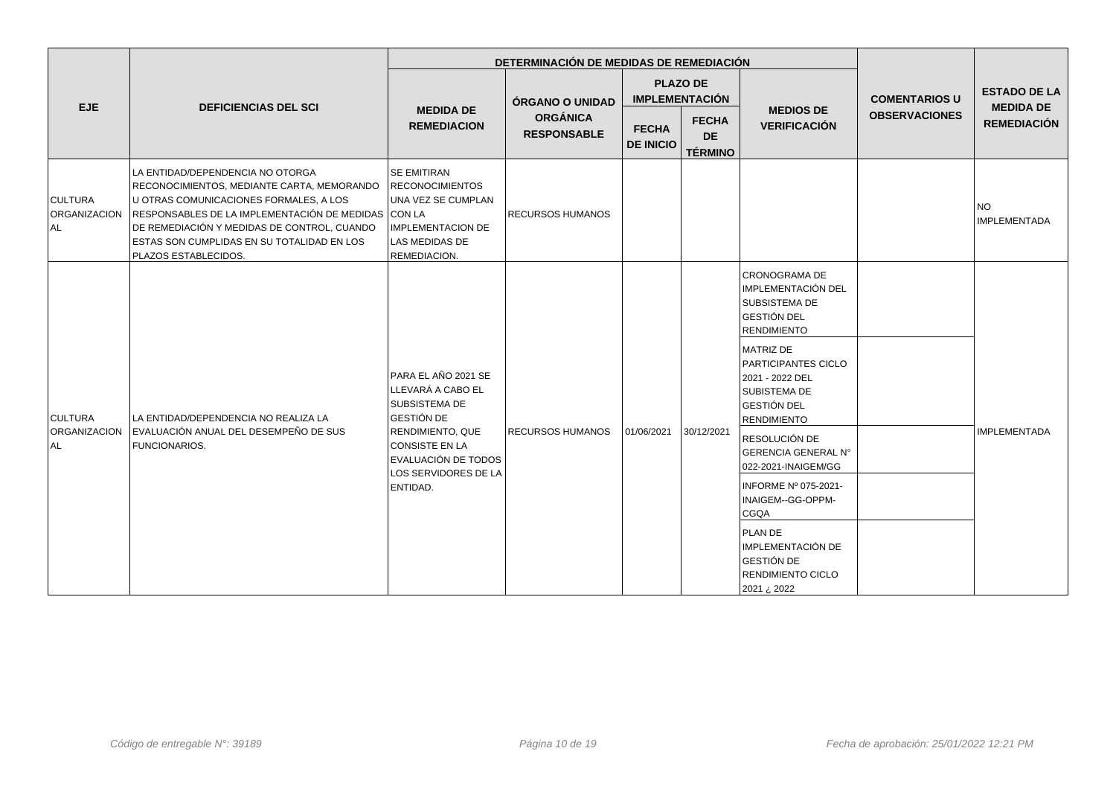|                                      |                                                                                                                                                                                                                                                                                                      |                                                                                                                                                                                        |                                       | DETERMINACIÓN DE MEDIDAS DE REMEDIACIÓN  |                                                   |                                                                                                                        |                                                                                                         |                                         |  |
|--------------------------------------|------------------------------------------------------------------------------------------------------------------------------------------------------------------------------------------------------------------------------------------------------------------------------------------------------|----------------------------------------------------------------------------------------------------------------------------------------------------------------------------------------|---------------------------------------|------------------------------------------|---------------------------------------------------|------------------------------------------------------------------------------------------------------------------------|---------------------------------------------------------------------------------------------------------|-----------------------------------------|--|
| EJE                                  | <b>DEFICIENCIAS DEL SCI</b>                                                                                                                                                                                                                                                                          |                                                                                                                                                                                        | <b>ÓRGANO O UNIDAD</b>                | <b>PLAZO DE</b><br><b>IMPLEMENTACIÓN</b> |                                                   |                                                                                                                        | <b>COMENTARIOS U</b>                                                                                    | <b>ESTADO DE LA</b><br><b>MEDIDA DE</b> |  |
|                                      |                                                                                                                                                                                                                                                                                                      | <b>MEDIDA DE</b><br><b>REMEDIACION</b>                                                                                                                                                 | <b>ORGÁNICA</b><br><b>RESPONSABLE</b> | <b>FECHA</b><br><b>DE INICIO</b>         | <b>FECHA</b><br><b>DE</b><br><b>TÉRMINO</b>       | <b>MEDIOS DE</b><br><b>VERIFICACIÓN</b>                                                                                | <b>OBSERVACIONES</b>                                                                                    | <b>REMEDIACIÓN</b>                      |  |
| <b>CULTURA</b><br>ORGANIZACION<br>AL | LA ENTIDAD/DEPENDENCIA NO OTORGA<br>RECONOCIMIENTOS, MEDIANTE CARTA, MEMORANDO<br>U OTRAS COMUNICACIONES FORMALES, A LOS<br>RESPONSABLES DE LA IMPLEMENTACIÓN DE MEDIDAS CON LA<br>DE REMEDIACIÓN Y MEDIDAS DE CONTROL, CUANDO<br>ESTAS SON CUMPLIDAS EN SU TOTALIDAD EN LOS<br>PLAZOS ESTABLECIDOS. | <b>SE EMITIRAN</b><br><b>RECONOCIMIENTOS</b><br>UNA VEZ SE CUMPLAN<br><b>IMPLEMENTACION DE</b><br>LAS MEDIDAS DE<br>REMEDIACION.                                                       | <b>RECURSOS HUMANOS</b>               |                                          |                                                   |                                                                                                                        |                                                                                                         | <b>NO</b><br><b>IMPLEMENTADA</b>        |  |
| <b>CULTURA</b>                       |                                                                                                                                                                                                                                                                                                      |                                                                                                                                                                                        |                                       |                                          |                                                   |                                                                                                                        | CRONOGRAMA DE<br>IMPLEMENTACIÓN DEL<br><b>SUBSISTEMA DE</b><br><b>GESTIÓN DEL</b><br><b>RENDIMIENTO</b> |                                         |  |
|                                      | LA ENTIDAD/DEPENDENCIA NO REALIZA LA                                                                                                                                                                                                                                                                 | PARA EL AÑO 2021 SE<br>LLEVARÁ A CABO EL<br><b>SUBSISTEMA DE</b><br><b>GESTIÓN DE</b><br>RENDIMIENTO, QUE<br>CONSISTE EN LA<br>EVALUACIÓN DE TODOS<br>LOS SERVIDORES DE LA<br>ENTIDAD. |                                       | 01/06/2021<br>30/12/2021                 |                                                   | <b>MATRIZ DE</b><br>PARTICIPANTES CICLO<br>2021 - 2022 DEL<br>SUBISTEMA DE<br><b>GESTIÓN DEL</b><br><b>RENDIMIENTO</b> |                                                                                                         | <b>IMPLEMENTADA</b>                     |  |
| ORGANIZACION<br>l AL                 | EVALUACIÓN ANUAL DEL DESEMPEÑO DE SUS<br><b>FUNCIONARIOS.</b>                                                                                                                                                                                                                                        |                                                                                                                                                                                        | <b>RECURSOS HUMANOS</b>               |                                          |                                                   | RESOLUCIÓN DE<br><b>GERENCIA GENERAL N°</b><br>022-2021-INAIGEM/GG                                                     |                                                                                                         |                                         |  |
|                                      |                                                                                                                                                                                                                                                                                                      |                                                                                                                                                                                        |                                       |                                          | INFORME Nº 075-2021-<br>INAIGEM--GG-OPPM-<br>CGQA |                                                                                                                        |                                                                                                         |                                         |  |
|                                      |                                                                                                                                                                                                                                                                                                      |                                                                                                                                                                                        |                                       |                                          |                                                   | PLAN DE<br>IMPLEMENTACIÓN DE<br>GESTIÓN DE<br>RENDIMIENTO CICLO<br>2021 ¿ 2022                                         |                                                                                                         |                                         |  |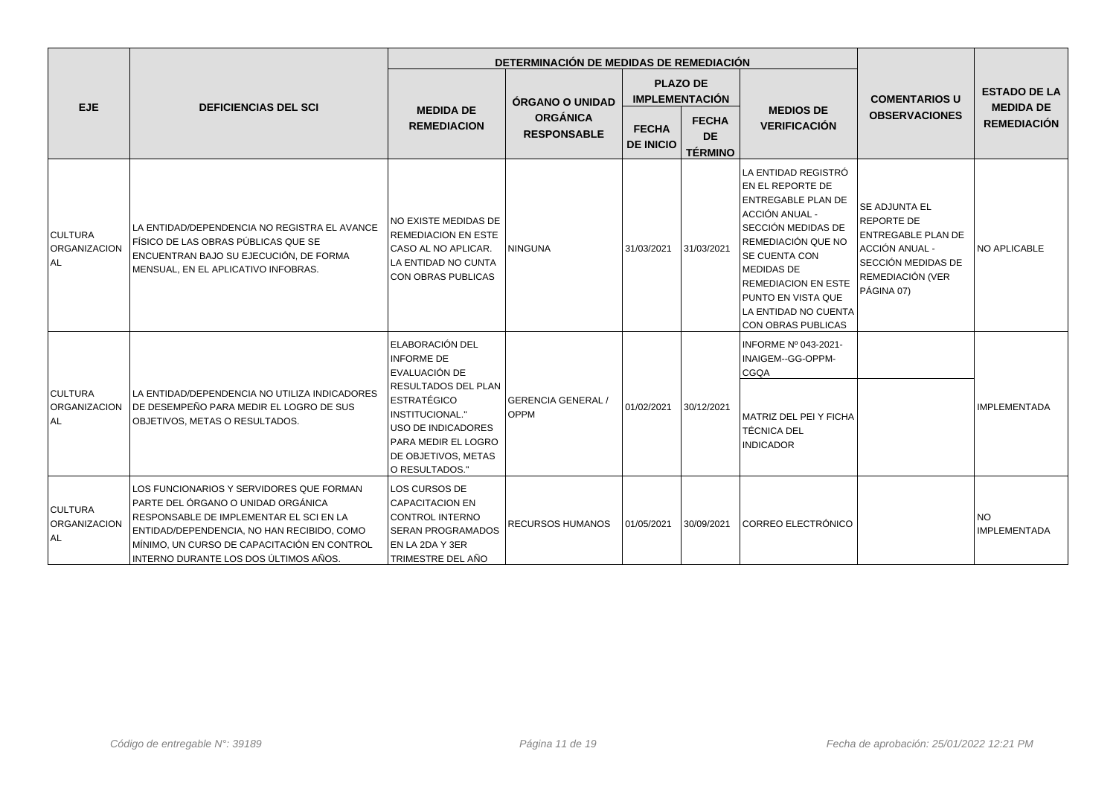|                                        |                                                                                                                                                                                                                                                                 |                                                                                                                                                                                                             | DETERMINACIÓN DE MEDIDAS DE REMEDIACIÓN |                                  |                                             |                                                                                                                                                                                                                                                                                   |                                                                                                                             |                                         |
|----------------------------------------|-----------------------------------------------------------------------------------------------------------------------------------------------------------------------------------------------------------------------------------------------------------------|-------------------------------------------------------------------------------------------------------------------------------------------------------------------------------------------------------------|-----------------------------------------|----------------------------------|---------------------------------------------|-----------------------------------------------------------------------------------------------------------------------------------------------------------------------------------------------------------------------------------------------------------------------------------|-----------------------------------------------------------------------------------------------------------------------------|-----------------------------------------|
| <b>EJE</b>                             | <b>DEFICIENCIAS DEL SCI</b>                                                                                                                                                                                                                                     |                                                                                                                                                                                                             | ÓRGANO O UNIDAD                         |                                  | <b>PLAZO DE</b><br><b>IMPLEMENTACIÓN</b>    |                                                                                                                                                                                                                                                                                   | <b>COMENTARIOS U</b>                                                                                                        | <b>ESTADO DE LA</b><br><b>MEDIDA DE</b> |
|                                        |                                                                                                                                                                                                                                                                 | <b>MEDIDA DE</b><br><b>REMEDIACION</b>                                                                                                                                                                      | <b>ORGÁNICA</b><br><b>RESPONSABLE</b>   | <b>FECHA</b><br><b>DE INICIO</b> | <b>FECHA</b><br><b>DE</b><br><b>TÉRMINO</b> | <b>MEDIOS DE</b><br><b>VERIFICACIÓN</b>                                                                                                                                                                                                                                           | <b>OBSERVACIONES</b>                                                                                                        | <b>REMEDIACIÓN</b>                      |
| <b>CULTURA</b><br>ORGANIZACION<br>l AL | LA ENTIDAD/DEPENDENCIA NO REGISTRA EL AVANCE<br>FÍSICO DE LAS OBRAS PÚBLICAS QUE SE<br>ENCUENTRAN BAJO SU EJECUCIÓN, DE FORMA<br>MENSUAL, EN EL APLICATIVO INFOBRAS.                                                                                            | NO EXISTE MEDIDAS DE<br><b>REMEDIACION EN ESTE</b><br>CASO AL NO APLICAR.<br>LA ENTIDAD NO CUNTA<br><b>CON OBRAS PUBLICAS</b>                                                                               | <b>NINGUNA</b>                          | 31/03/2021                       | 31/03/2021                                  | LA ENTIDAD REGISTRÓ<br>EN EL REPORTE DE<br><b>ENTREGABLE PLAN DE</b><br>ACCIÓN ANUAL -<br>SECCIÓN MEDIDAS DE<br>REMEDIACIÓN QUE NO<br>SE CUENTA CON<br><b>MEDIDAS DE</b><br><b>REMEDIACION EN ESTE</b><br>PUNTO EN VISTA QUE<br>LA ENTIDAD NO CUENTA<br><b>CON OBRAS PUBLICAS</b> | SE ADJUNTA EL<br>REPORTE DE<br>ENTREGABLE PLAN DE<br>ACCIÓN ANUAL -<br>SECCIÓN MEDIDAS DE<br>REMEDIACIÓN (VER<br>PÁGINA 07) | NO APLICABLE                            |
| <b>CULTURA</b><br>ORGANIZACION<br>AL.  | LA ENTIDAD/DEPENDENCIA NO UTILIZA INDICADORES<br>DE DESEMPEÑO PARA MEDIR EL LOGRO DE SUS<br>OBJETIVOS, METAS O RESULTADOS.                                                                                                                                      | ELABORACIÓN DEL<br><b>INFORME DE</b><br>EVALUACIÓN DE<br>RESULTADOS DEL PLAN<br><b>ESTRATÉGICO</b><br>INSTITUCIONAL."<br>USO DE INDICADORES<br>PARA MEDIR EL LOGRO<br>DE OBJETIVOS, METAS<br>O RESULTADOS." | <b>GERENCIA GENERAL/</b><br><b>OPPM</b> | 01/02/2021                       | 30/12/2021                                  | INFORME Nº 043-2021-<br>INAIGEM--GG-OPPM-<br><b>CGQA</b><br>MATRIZ DEL PEI Y FICHA<br><b>TÉCNICA DEL</b><br><b>INDICADOR</b>                                                                                                                                                      |                                                                                                                             | <b>IMPLEMENTADA</b>                     |
| <b>CULTURA</b><br>ORGANIZACION<br>ALL. | LOS FUNCIONARIOS Y SERVIDORES QUE FORMAN<br>PARTE DEL ÓRGANO O UNIDAD ORGÁNICA<br>RESPONSABLE DE IMPLEMENTAR EL SCI EN LA<br>ENTIDAD/DEPENDENCIA, NO HAN RECIBIDO, COMO<br>MÍNIMO, UN CURSO DE CAPACITACIÓN EN CONTROL<br>INTERNO DURANTE LOS DOS ÚLTIMOS AÑOS. | LOS CURSOS DE<br><b>CAPACITACION EN</b><br>CONTROL INTERNO<br><b>SERAN PROGRAMADOS</b><br>EN LA 2DA Y 3ER<br>TRIMESTRE DEL AÑO                                                                              | <b>RECURSOS HUMANOS</b>                 | 01/05/2021                       | 30/09/2021                                  | CORREO ELECTRÓNICO                                                                                                                                                                                                                                                                |                                                                                                                             | <b>NO</b><br><b>IMPLEMENTADA</b>        |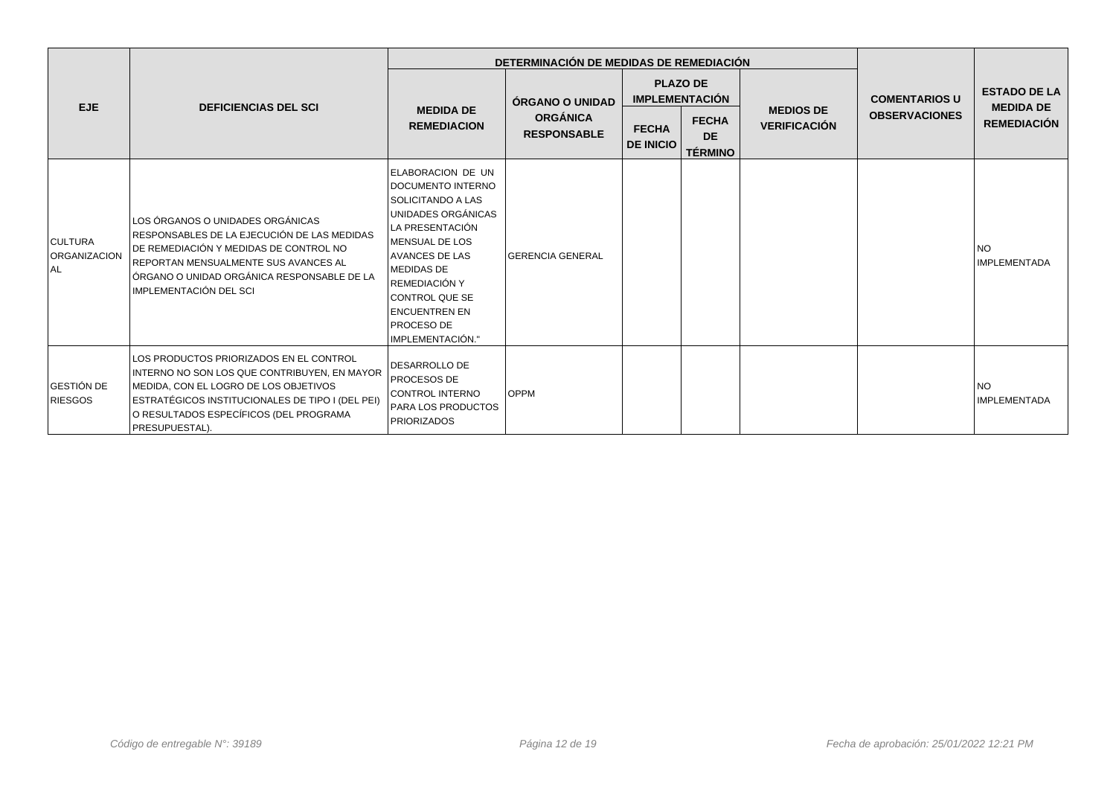|                                              |                                                                                                                                                                                                                                                  |                                                                                                                                                                                                                                                                                          | DETERMINACIÓN DE MEDIDAS DE REMEDIACIÓN |                                          |                                             |                     |                                              |                                         |
|----------------------------------------------|--------------------------------------------------------------------------------------------------------------------------------------------------------------------------------------------------------------------------------------------------|------------------------------------------------------------------------------------------------------------------------------------------------------------------------------------------------------------------------------------------------------------------------------------------|-----------------------------------------|------------------------------------------|---------------------------------------------|---------------------|----------------------------------------------|-----------------------------------------|
| <b>EJE</b>                                   | <b>DEFICIENCIAS DEL SCI</b>                                                                                                                                                                                                                      | <b>MEDIDA DE</b>                                                                                                                                                                                                                                                                         | ÓRGANO O UNIDAD                         | <b>PLAZO DE</b><br><b>IMPLEMENTACIÓN</b> |                                             | <b>MEDIOS DE</b>    | <b>COMENTARIOS U</b><br><b>OBSERVACIONES</b> | <b>ESTADO DE LA</b><br><b>MEDIDA DE</b> |
|                                              |                                                                                                                                                                                                                                                  | <b>REMEDIACION</b>                                                                                                                                                                                                                                                                       | <b>ORGÁNICA</b><br><b>RESPONSABLE</b>   | <b>FECHA</b><br><b>DE INICIO</b>         | <b>FECHA</b><br><b>DE</b><br><b>TÉRMINO</b> | <b>VERIFICACIÓN</b> |                                              | <b>REMEDIACIÓN</b>                      |
| <b>CULTURA</b><br><b>ORGANIZACION</b><br>AL. | LOS ÓRGANOS O UNIDADES ORGÁNICAS<br>RESPONSABLES DE LA EJECUCIÓN DE LAS MEDIDAS<br>DE REMEDIACIÓN Y MEDIDAS DE CONTROL NO<br>REPORTAN MENSUALMENTE SUS AVANCES AL<br>LÓRGANO O UNIDAD ORGÁNICA RESPONSABLE DE LA<br>IMPLEMENTACIÓN DEL SCI       | ELABORACION DE UN<br>DOCUMENTO INTERNO<br>SOLICITANDO A LAS<br>UNIDADES ORGÁNICAS<br>LA PRESENTACIÓN<br><b>IMENSUAL DE LOS</b><br><b>AVANCES DE LAS</b><br><b>MEDIDAS DE</b><br><b>IREMEDIACIÓN Y</b><br>CONTROL QUE SE<br><b>ENCUENTREN EN</b><br><b>PROCESO DE</b><br>IMPLEMENTACIÓN." | <b>GERENCIA GENERAL</b>                 |                                          |                                             |                     |                                              | <b>NO</b><br><b>IMPLEMENTADA</b>        |
| GESTIÓN DE<br><b>RIESGOS</b>                 | LOS PRODUCTOS PRIORIZADOS EN EL CONTROL<br>INTERNO NO SON LOS QUE CONTRIBUYEN, EN MAYOR<br>MEDIDA, CON EL LOGRO DE LOS OBJETIVOS<br>ESTRATÉGICOS INSTITUCIONALES DE TIPO I (DEL PEI)<br>O RESULTADOS ESPECÍFICOS (DEL PROGRAMA<br>PRESUPUESTAL). | <b>IDESARROLLO DE</b><br><b>PROCESOS DE</b><br><b>CONTROL INTERNO</b><br><b>PARA LOS PRODUCTOS</b><br><b>PRIORIZADOS</b>                                                                                                                                                                 | <b>OPPM</b>                             |                                          |                                             |                     |                                              | <b>NO</b><br><b>IMPLEMENTADA</b>        |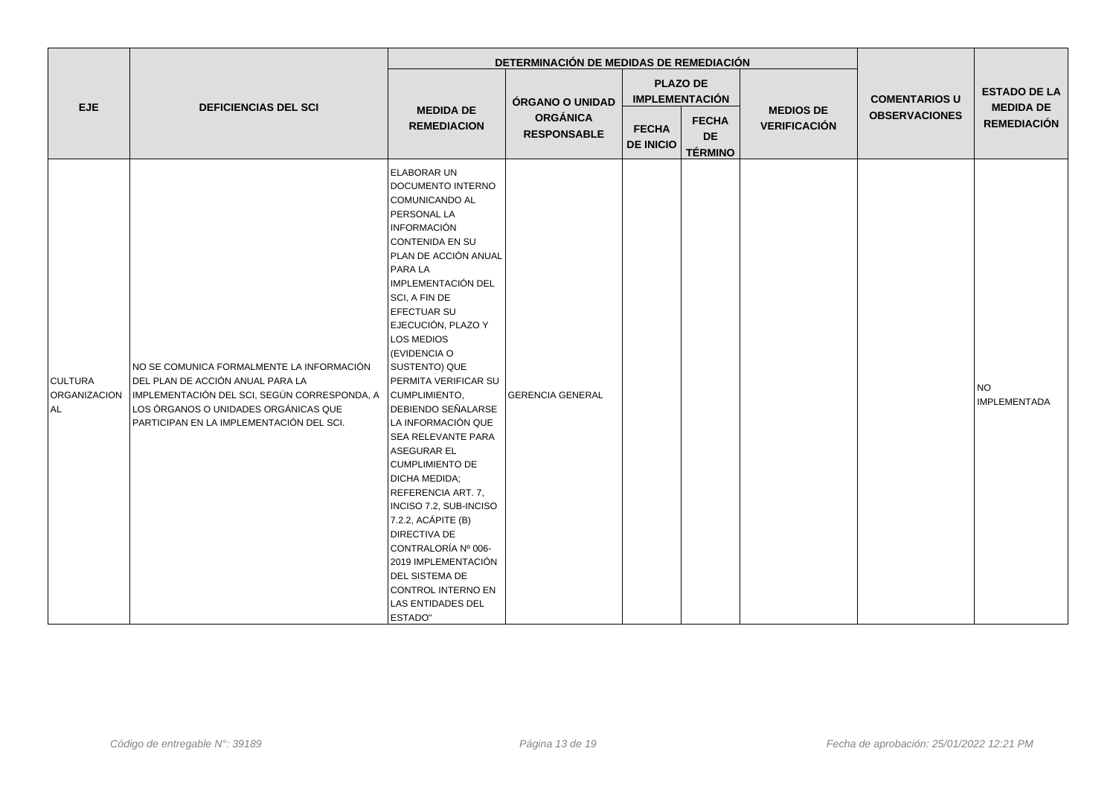|                                       |                                                                                                                                                                                                                   |                                                                                                                                                                                                                                                                                                                                                                                                                                                                                                                                                                                                                                                                                | DETERMINACIÓN DE MEDIDAS DE REMEDIACIÓN |                                          |                                             |                                         |                      |                                         |
|---------------------------------------|-------------------------------------------------------------------------------------------------------------------------------------------------------------------------------------------------------------------|--------------------------------------------------------------------------------------------------------------------------------------------------------------------------------------------------------------------------------------------------------------------------------------------------------------------------------------------------------------------------------------------------------------------------------------------------------------------------------------------------------------------------------------------------------------------------------------------------------------------------------------------------------------------------------|-----------------------------------------|------------------------------------------|---------------------------------------------|-----------------------------------------|----------------------|-----------------------------------------|
| <b>EJE</b>                            | <b>DEFICIENCIAS DEL SCI</b>                                                                                                                                                                                       | <b>MEDIDA DE</b><br><b>REMEDIACION</b>                                                                                                                                                                                                                                                                                                                                                                                                                                                                                                                                                                                                                                         | ÓRGANO O UNIDAD                         | <b>PLAZO DE</b><br><b>IMPLEMENTACIÓN</b> |                                             |                                         | <b>COMENTARIOS U</b> | <b>ESTADO DE LA</b><br><b>MEDIDA DE</b> |
|                                       |                                                                                                                                                                                                                   |                                                                                                                                                                                                                                                                                                                                                                                                                                                                                                                                                                                                                                                                                | <b>ORGÁNICA</b><br><b>RESPONSABLE</b>   | <b>FECHA</b><br><b>DE INICIO</b>         | <b>FECHA</b><br><b>DE</b><br><b>TÉRMINO</b> | <b>MEDIOS DE</b><br><b>VERIFICACIÓN</b> | <b>OBSERVACIONES</b> | <b>REMEDIACIÓN</b>                      |
| <b>CULTURA</b><br>ORGANIZACION<br>∣AL | NO SE COMUNICA FORMALMENTE LA INFORMACIÓN<br>DEL PLAN DE ACCIÓN ANUAL PARA LA<br>IMPLEMENTACIÓN DEL SCI, SEGÚN CORRESPONDA, A<br>LOS ÓRGANOS O UNIDADES ORGÁNICAS QUE<br>PARTICIPAN EN LA IMPLEMENTACIÓN DEL SCI. | ELABORAR UN<br>DOCUMENTO INTERNO<br>COMUNICANDO AL<br>PERSONAL LA<br><b>INFORMACIÓN</b><br>CONTENIDA EN SU<br>PLAN DE ACCIÓN ANUAL<br>PARA LA<br>IMPLEMENTACIÓN DEL<br>SCI, A FIN DE<br>EFECTUAR SU<br>EJECUCIÓN, PLAZO Y<br>LOS MEDIOS<br>(EVIDENCIA O<br>SUSTENTO) QUE<br>PERMITA VERIFICAR SU<br>CUMPLIMIENTO,<br><b>DEBIENDO SEÑALARSE</b><br>LA INFORMACIÓN QUE<br>SEA RELEVANTE PARA<br>ASEGURAR EL<br><b>CUMPLIMIENTO DE</b><br>DICHA MEDIDA;<br>REFERENCIA ART. 7.<br>INCISO 7.2, SUB-INCISO<br>7.2.2, ACÁPITE (B)<br><b>DIRECTIVA DE</b><br>CONTRALORÍA Nº 006-<br>2019 IMPLEMENTACIÓN<br>DEL SISTEMA DE<br>CONTROL INTERNO EN<br><b>LAS ENTIDADES DEL</b><br>ESTADO" | <b>GERENCIA GENERAL</b>                 |                                          |                                             |                                         |                      | <b>NO</b><br><b>IMPLEMENTADA</b>        |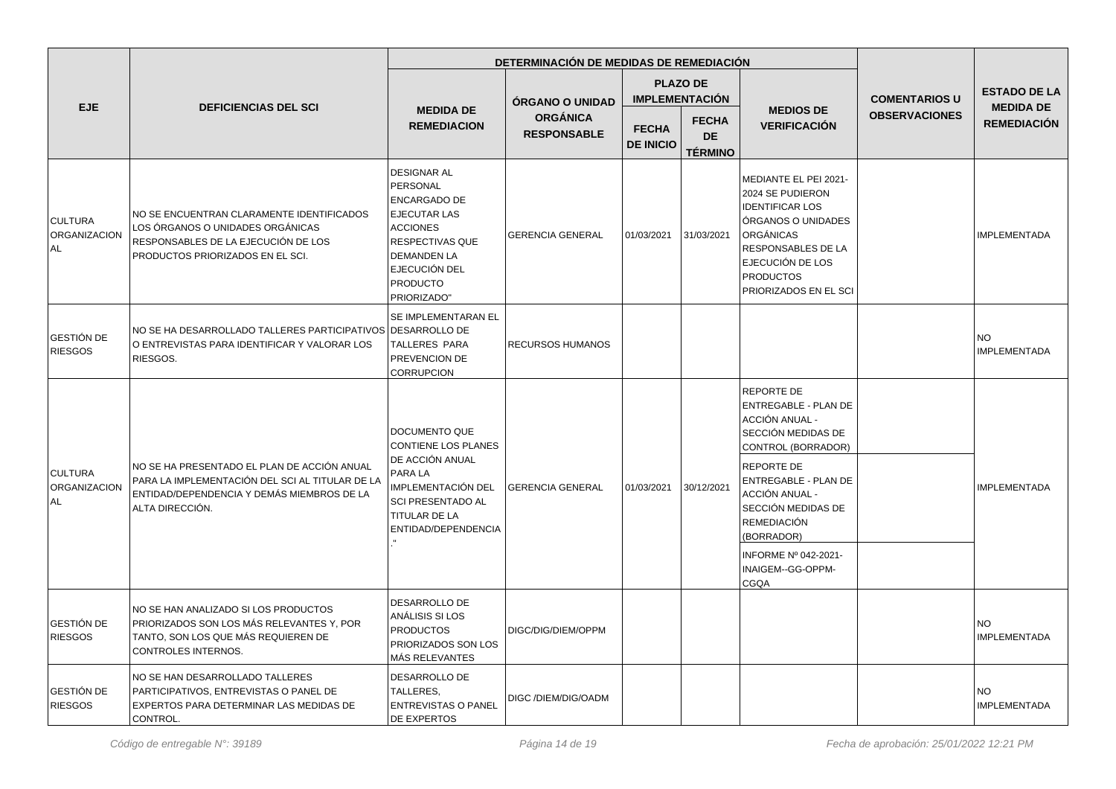|                                        |                                                                                                                                                                 |                                                                                                                                                                                                    | DETERMINACIÓN DE MEDIDAS DE REMEDIACIÓN |                                  |                                             |                                                                                                                                                                                                      |                                                   |                                        |
|----------------------------------------|-----------------------------------------------------------------------------------------------------------------------------------------------------------------|----------------------------------------------------------------------------------------------------------------------------------------------------------------------------------------------------|-----------------------------------------|----------------------------------|---------------------------------------------|------------------------------------------------------------------------------------------------------------------------------------------------------------------------------------------------------|---------------------------------------------------|----------------------------------------|
|                                        |                                                                                                                                                                 |                                                                                                                                                                                                    | ÓRGANO O UNIDAD                         |                                  | <b>PLAZO DE</b><br><b>IMPLEMENTACIÓN</b>    |                                                                                                                                                                                                      | <b>COMENTARIOS U</b>                              | <b>ESTADO DE LA</b>                    |
| <b>EJE</b>                             | <b>DEFICIENCIAS DEL SCI</b>                                                                                                                                     | <b>MEDIDA DE</b><br><b>REMEDIACION</b>                                                                                                                                                             | <b>ORGÁNICA</b><br><b>RESPONSABLE</b>   | <b>FECHA</b><br><b>DE INICIO</b> | <b>FECHA</b><br><b>DE</b><br><b>TÉRMINO</b> | <b>MEDIOS DE</b><br><b>VERIFICACIÓN</b>                                                                                                                                                              | <b>OBSERVACIONES</b>                              | <b>MEDIDA DE</b><br><b>REMEDIACIÓN</b> |
| <b>CULTURA</b><br>ORGANIZACION<br>AL.  | NO SE ENCUENTRAN CLARAMENTE IDENTIFICADOS<br>LOS ÓRGANOS O UNIDADES ORGÁNICAS<br>RESPONSABLES DE LA EJECUCIÓN DE LOS<br>PRODUCTOS PRIORIZADOS EN EL SCI.        | <b>DESIGNAR AL</b><br>PERSONAL<br><b>ENCARGADO DE</b><br><b>EJECUTAR LAS</b><br><b>ACCIONES</b><br><b>RESPECTIVAS QUE</b><br><b>DEMANDEN LA</b><br>EJECUCIÓN DEL<br><b>PRODUCTO</b><br>PRIORIZADO" | <b>GERENCIA GENERAL</b>                 | 01/03/2021                       | 31/03/2021                                  | MEDIANTE EL PEI 2021-<br>2024 SE PUDIERON<br><b>IDENTIFICAR LOS</b><br>ÓRGANOS O UNIDADES<br>ORGÁNICAS<br><b>RESPONSABLES DE LA</b><br>EJECUCIÓN DE LOS<br><b>PRODUCTOS</b><br>PRIORIZADOS EN EL SCI |                                                   | <b>IMPLEMENTADA</b>                    |
| GESTIÓN DE<br><b>RIESGOS</b>           | NO SE HA DESARROLLADO TALLERES PARTICIPATIVOS DESARROLLO DE<br>O ENTREVISTAS PARA IDENTIFICAR Y VALORAR LOS<br>RIESGOS.                                         | SE IMPLEMENTARAN EL<br><b>TALLERES PARA</b><br>PREVENCION DE<br>CORRUPCION                                                                                                                         | <b>RECURSOS HUMANOS</b>                 |                                  |                                             |                                                                                                                                                                                                      |                                                   | <b>NO</b><br><b>IMPLEMENTADA</b>       |
| <b>CULTURA</b><br>ORGANIZACION<br>l AL | NO SE HA PRESENTADO EL PLAN DE ACCIÓN ANUAL<br>PARA LA IMPLEMENTACIÓN DEL SCI AL TITULAR DE LA<br>ENTIDAD/DEPENDENCIA Y DEMÁS MIEMBROS DE LA<br>ALTA DIRECCIÓN. | <b>DOCUMENTO QUE</b><br><b>CONTIENE LOS PLANES</b><br>DE ACCIÓN ANUAL<br>PARA LA<br>IMPLEMENTACIÓN DEL<br><b>SCI PRESENTADO AL</b><br>TITULAR DE LA<br>ENTIDAD/DEPENDENCIA                         | <b>GERENCIA GENERAL</b>                 |                                  |                                             | <b>REPORTE DE</b><br><b>ENTREGABLE - PLAN DE</b><br>ACCIÓN ANUAL -<br>SECCIÓN MEDIDAS DE<br>CONTROL (BORRADOR)                                                                                       |                                                   |                                        |
|                                        |                                                                                                                                                                 |                                                                                                                                                                                                    |                                         |                                  | 01/03/2021                                  | REPORTE DE<br>30/12/2021<br>ACCIÓN ANUAL -<br><b>REMEDIACIÓN</b><br>(BORRADOR)<br><b>CGQA</b>                                                                                                        | <b>ENTREGABLE - PLAN DE</b><br>SECCIÓN MEDIDAS DE |                                        |
|                                        |                                                                                                                                                                 |                                                                                                                                                                                                    |                                         |                                  |                                             |                                                                                                                                                                                                      | <b>INFORME Nº 042-2021-</b><br>INAIGEM--GG-OPPM-  |                                        |
| GESTIÓN DE<br><b>RIESGOS</b>           | NO SE HAN ANALIZADO SI LOS PRODUCTOS<br>PRIORIZADOS SON LOS MÁS RELEVANTES Y, POR<br>TANTO, SON LOS QUE MÁS REQUIEREN DE<br>CONTROLES INTERNOS.                 | DESARROLLO DE<br>ANÁLISIS SI LOS<br><b>PRODUCTOS</b><br>PRIORIZADOS SON LOS<br>MÁS RELEVANTES                                                                                                      | DIGC/DIG/DIEM/OPPM                      |                                  |                                             |                                                                                                                                                                                                      |                                                   | <b>NO</b><br><b>IMPLEMENTADA</b>       |
| GESTIÓN DE<br><b>RIESGOS</b>           | NO SE HAN DESARROLLADO TALLERES<br>PARTICIPATIVOS, ENTREVISTAS O PANEL DE<br>EXPERTOS PARA DETERMINAR LAS MEDIDAS DE<br>CONTROL.                                | <b>DESARROLLO DE</b><br>TALLERES,<br><b>ENTREVISTAS O PANEL</b><br><b>DE EXPERTOS</b>                                                                                                              | DIGC /DIEM/DIG/OADM                     |                                  |                                             |                                                                                                                                                                                                      |                                                   | <b>NO</b><br><b>IMPLEMENTADA</b>       |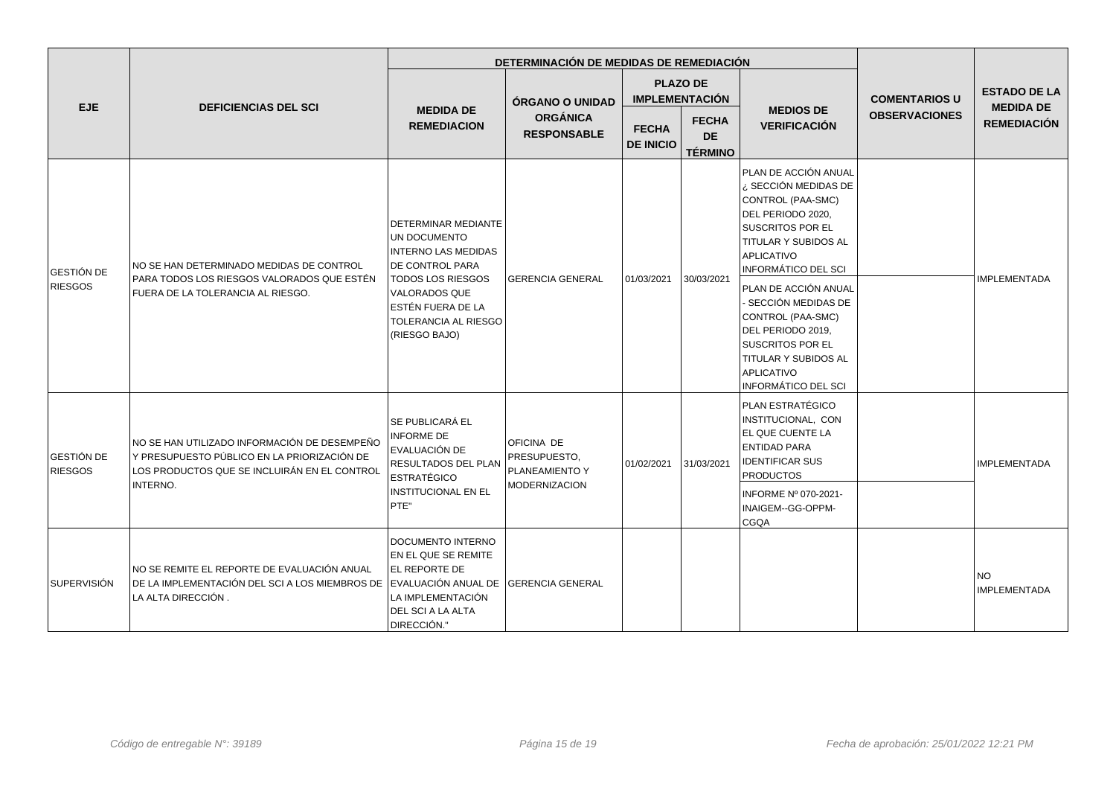|                                     |                                                                                                                                                         |                                                                                                                                                                                                               | DETERMINACIÓN DE MEDIDAS DE REMEDIACIÓN                       |                                          |                                             |                                                                                                                                                                                                                                                                                                                                                                                |                      |                                         |
|-------------------------------------|---------------------------------------------------------------------------------------------------------------------------------------------------------|---------------------------------------------------------------------------------------------------------------------------------------------------------------------------------------------------------------|---------------------------------------------------------------|------------------------------------------|---------------------------------------------|--------------------------------------------------------------------------------------------------------------------------------------------------------------------------------------------------------------------------------------------------------------------------------------------------------------------------------------------------------------------------------|----------------------|-----------------------------------------|
| <b>EJE</b>                          | <b>DEFICIENCIAS DEL SCI</b>                                                                                                                             |                                                                                                                                                                                                               | <b>ÓRGANO O UNIDAD</b>                                        | <b>PLAZO DE</b><br><b>IMPLEMENTACIÓN</b> |                                             |                                                                                                                                                                                                                                                                                                                                                                                | <b>COMENTARIOS U</b> | <b>ESTADO DE LA</b><br><b>MEDIDA DE</b> |
|                                     |                                                                                                                                                         | <b>MEDIDA DE</b><br><b>REMEDIACION</b>                                                                                                                                                                        | <b>ORGÁNICA</b><br><b>RESPONSABLE</b>                         | <b>FECHA</b><br><b>DE INICIO</b>         | <b>FECHA</b><br><b>DE</b><br><b>TÉRMINO</b> | <b>MEDIOS DE</b><br><b>VERIFICACIÓN</b>                                                                                                                                                                                                                                                                                                                                        | <b>OBSERVACIONES</b> | <b>REMEDIACIÓN</b>                      |
| <b>GESTIÓN DE</b><br><b>RIESGOS</b> | NO SE HAN DETERMINADO MEDIDAS DE CONTROL<br>PARA TODOS LOS RIESGOS VALORADOS QUE ESTÉN<br>FUERA DE LA TOLERANCIA AL RIESGO.                             | DETERMINAR MEDIANTE<br>UN DOCUMENTO<br><b>INTERNO LAS MEDIDAS</b><br>DE CONTROL PARA<br><b>TODOS LOS RIESGOS</b><br><b>VALORADOS QUE</b><br>ESTÉN FUERA DE LA<br><b>TOLERANCIA AL RIESGO</b><br>(RIESGO BAJO) | <b>GERENCIA GENERAL</b>                                       | 01/03/2021                               | 30/03/2021                                  | PLAN DE ACCIÓN ANUAL<br>¿ SECCIÓN MEDIDAS DE<br>CONTROL (PAA-SMC)<br>DEL PERIODO 2020.<br><b>SUSCRITOS POR EL</b><br>TITULAR Y SUBIDOS AL<br><b>APLICATIVO</b><br><b>INFORMÁTICO DEL SCI</b><br>PLAN DE ACCIÓN ANUAL<br>- SECCIÓN MEDIDAS DE<br>CONTROL (PAA-SMC)<br>DEL PERIODO 2019,<br>SUSCRITOS POR EL<br>TITULAR Y SUBIDOS AL<br><b>APLICATIVO</b><br>INFORMÁTICO DEL SCI |                      | <b>IMPLEMENTADA</b>                     |
| <b>GESTIÓN DE</b><br><b>RIESGOS</b> | NO SE HAN UTILIZADO INFORMACIÓN DE DESEMPEÑO<br>Y PRESUPUESTO PÚBLICO EN LA PRIORIZACIÓN DE<br>LOS PRODUCTOS QUE SE INCLUIRÁN EN EL CONTROL<br>INTERNO. | <b>SE PUBLICARÁ EL</b><br><b>INFORME DE</b><br>EVALUACIÓN DE<br>RESULTADOS DEL PLAN<br><b>ESTRATÉGICO</b><br>INSTITUCIONAL EN EL<br>PTE"                                                                      | OFICINA DE<br>PRESUPUESTO.<br>PLANEAMIENTO Y<br>MODERNIZACION | 01/02/2021                               | 31/03/2021                                  | PLAN ESTRATÉGICO<br>INSTITUCIONAL, CON<br>EL QUE CUENTE LA<br><b>ENTIDAD PARA</b><br><b>IDENTIFICAR SUS</b><br><b>PRODUCTOS</b><br>INFORME Nº 070-2021-<br>INAIGEM--GG-OPPM-<br><b>CGQA</b>                                                                                                                                                                                    |                      | <b>IMPLEMENTADA</b>                     |
| <b>SUPERVISIÓN</b>                  | NO SE REMITE EL REPORTE DE EVALUACIÓN ANUAL<br>DE LA IMPLEMENTACIÓN DEL SCI A LOS MIEMBROS DE<br>LA ALTA DIRECCIÓN.                                     | DOCUMENTO INTERNO<br>EN EL QUE SE REMITE<br>EL REPORTE DE<br>EVALUACIÓN ANUAL DE<br>LA IMPLEMENTACIÓN<br>DEL SCI A LA ALTA<br>DIRECCIÓN."                                                                     | <b>GERENCIA GENERAL</b>                                       |                                          |                                             |                                                                                                                                                                                                                                                                                                                                                                                |                      | <b>INO</b><br><b>IMPLEMENTADA</b>       |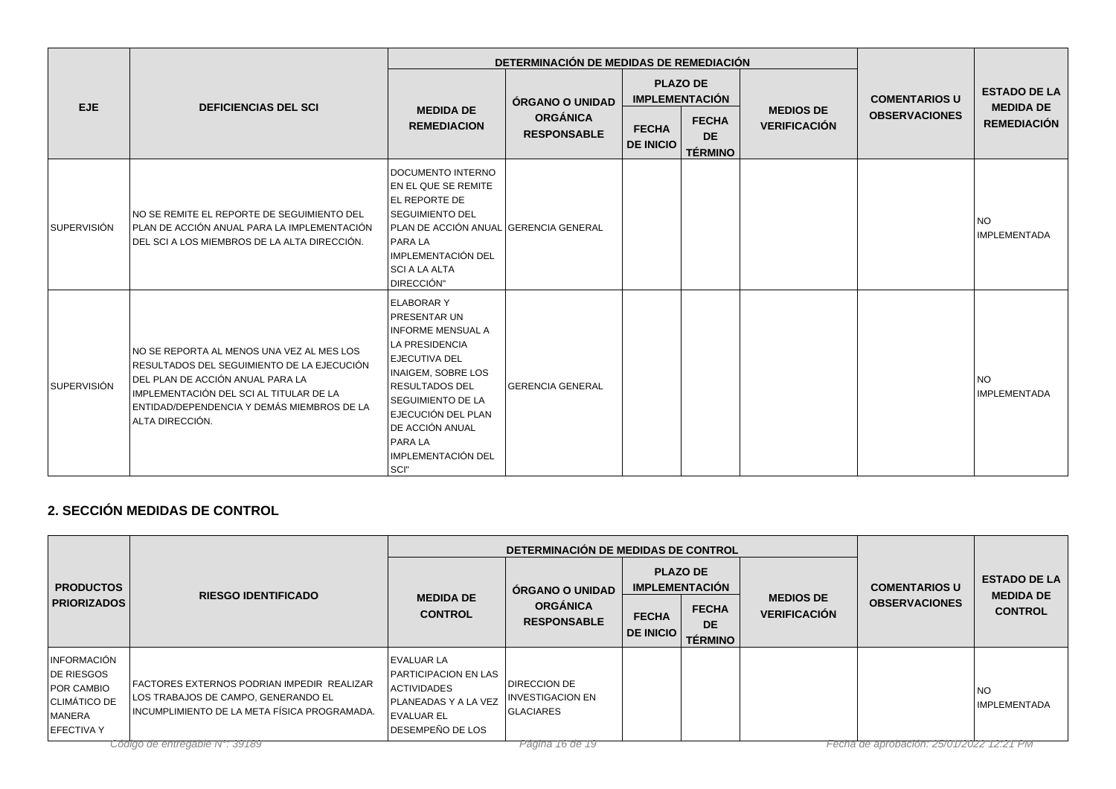|                    |                                                                                                                                                                                                                                          |                                                                                                                                                                                                                                                                                     | DETERMINACIÓN DE MEDIDAS DE REMEDIACIÓN                  |                                          |                                             |                                         |                      |                                        |
|--------------------|------------------------------------------------------------------------------------------------------------------------------------------------------------------------------------------------------------------------------------------|-------------------------------------------------------------------------------------------------------------------------------------------------------------------------------------------------------------------------------------------------------------------------------------|----------------------------------------------------------|------------------------------------------|---------------------------------------------|-----------------------------------------|----------------------|----------------------------------------|
| <b>EJE</b>         | <b>DEFICIENCIAS DEL SCI</b>                                                                                                                                                                                                              |                                                                                                                                                                                                                                                                                     | ÓRGANO O UNIDAD<br><b>ORGÁNICA</b><br><b>RESPONSABLE</b> | <b>PLAZO DE</b><br><b>IMPLEMENTACIÓN</b> |                                             |                                         | <b>COMENTARIOS U</b> | <b>ESTADO DE LA</b>                    |
|                    |                                                                                                                                                                                                                                          | <b>MEDIDA DE</b><br><b>REMEDIACION</b>                                                                                                                                                                                                                                              |                                                          | <b>FECHA</b><br><b>DE INICIO</b>         | <b>FECHA</b><br><b>DE</b><br><b>TÉRMINO</b> | <b>MEDIOS DE</b><br><b>VERIFICACIÓN</b> | <b>OBSERVACIONES</b> | <b>MEDIDA DE</b><br><b>REMEDIACIÓN</b> |
| <b>SUPERVISIÓN</b> | INO SE REMITE EL REPORTE DE SEGUIMIENTO DEL<br>PLAN DE ACCIÓN ANUAL PARA LA IMPLEMENTACIÓN<br>DEL SCI A LOS MIEMBROS DE LA ALTA DIRECCIÓN.                                                                                               | DOCUMENTO INTERNO<br>EN EL QUE SE REMITE<br><b>EL REPORTE DE</b><br><b>SEGUIMIENTO DEL</b><br>PLAN DE ACCIÓN ANUAL GERENCIA GENERAL<br><b>PARA LA</b><br>IMPLEMENTACIÓN DEL<br>SCI A LA ALTA<br>DIRECCIÓN"                                                                          |                                                          |                                          |                                             |                                         |                      | <b>NO</b><br>IMPLEMENTADA              |
| <b>SUPERVISIÓN</b> | INO SE REPORTA AL MENOS UNA VEZ AL MES LOS<br>RESULTADOS DEL SEGUIMIENTO DE LA EJECUCIÓN<br>DEL PLAN DE ACCIÓN ANUAL PARA LA<br>IMPLEMENTACIÓN DEL SCI AL TITULAR DE LA<br>ENTIDAD/DEPENDENCIA Y DEMÁS MIEMBROS DE LA<br>ALTA DIRECCIÓN. | <b>ELABORARY</b><br><b>PRESENTAR UN</b><br>INFORME MENSUAL A<br>LA PRESIDENCIA<br><b>LEJECUTIVA DEL</b><br><b>INAIGEM, SOBRE LOS</b><br> RESULTADOS DEL<br><b>SEGUIMIENTO DE LA</b><br>EJECUCIÓN DEL PLAN<br><b>IDE ACCIÓN ANUAL</b><br><b>PARALA</b><br>IMPLEMENTACIÓN DEL<br>SCI" | <b>GERENCIA GENERAL</b>                                  |                                          |                                             |                                         |                      | <b>NO</b><br><b>IMPLEMENTADA</b>       |

## **2. SECCIÓN MEDIDAS DE CONTROL**

|                                                                                                                      |                                                                                                                                                                           |                                                                                                                                                | DETERMINACIÓN DE MEDIDAS DE CONTROL                                                         |                                          |                                                                 |                                         |                                                 |                                    |
|----------------------------------------------------------------------------------------------------------------------|---------------------------------------------------------------------------------------------------------------------------------------------------------------------------|------------------------------------------------------------------------------------------------------------------------------------------------|---------------------------------------------------------------------------------------------|------------------------------------------|-----------------------------------------------------------------|-----------------------------------------|-------------------------------------------------|------------------------------------|
| <b>PRODUCTOS</b>                                                                                                     |                                                                                                                                                                           |                                                                                                                                                | ÓRGANO O UNIDAD                                                                             | <b>PLAZO DE</b><br><b>IMPLEMENTACIÓN</b> |                                                                 |                                         | <b>COMENTARIOS U</b><br><b>OBSERVACIONES</b>    | <b>ESTADO DE LA</b>                |
| <b>PRIORIZADOS</b>                                                                                                   | <b>RIESGO IDENTIFICADO</b>                                                                                                                                                | <b>MEDIDA DE</b><br><b>CONTROL</b>                                                                                                             | <b>ORGÁNICA</b><br><b>RESPONSABLE</b>                                                       |                                          | <b>FECHA</b><br><b>DE</b><br><b>DE INICIO</b><br><b>TÉRMINO</b> | <b>MEDIOS DE</b><br><b>VERIFICACIÓN</b> |                                                 | <b>MEDIDA DE</b><br><b>CONTROL</b> |
| <b>INFORMACIÓN</b><br>DE RIESGOS<br><b>POR CAMBIO</b><br><b>CLIMÁTICO DE</b><br><b>IMANERA</b><br><b>LEFECTIVA Y</b> | <b>FACTORES EXTERNOS PODRIAN IMPEDIR REALIZAR</b><br>LOS TRABAJOS DE CAMPO, GENERANDO EL<br>INCUMPLIMIENTO DE LA META FÍSICA PROGRAMADA.<br>Cadias de entregable Nº 20190 | <b>EVALUAR LA</b><br><b>PARTICIPACION EN LAS</b><br><b>ACTIVIDADES</b><br><b>PLANEADAS Y A LA VEZ</b><br><b>EVALUAR EL</b><br>DESEMPEÑO DE LOS | <b>DIRECCION DE</b><br><b>INVESTIGACION EN</b><br><b>GLACIARES</b><br>D <sub>OM</sub> 16001 |                                          |                                                                 |                                         | $F$ ocho do oproboción: $2F/117/21277$ 12:21 DM | <b>INO</b><br><b>IMPLEMENTADA</b>  |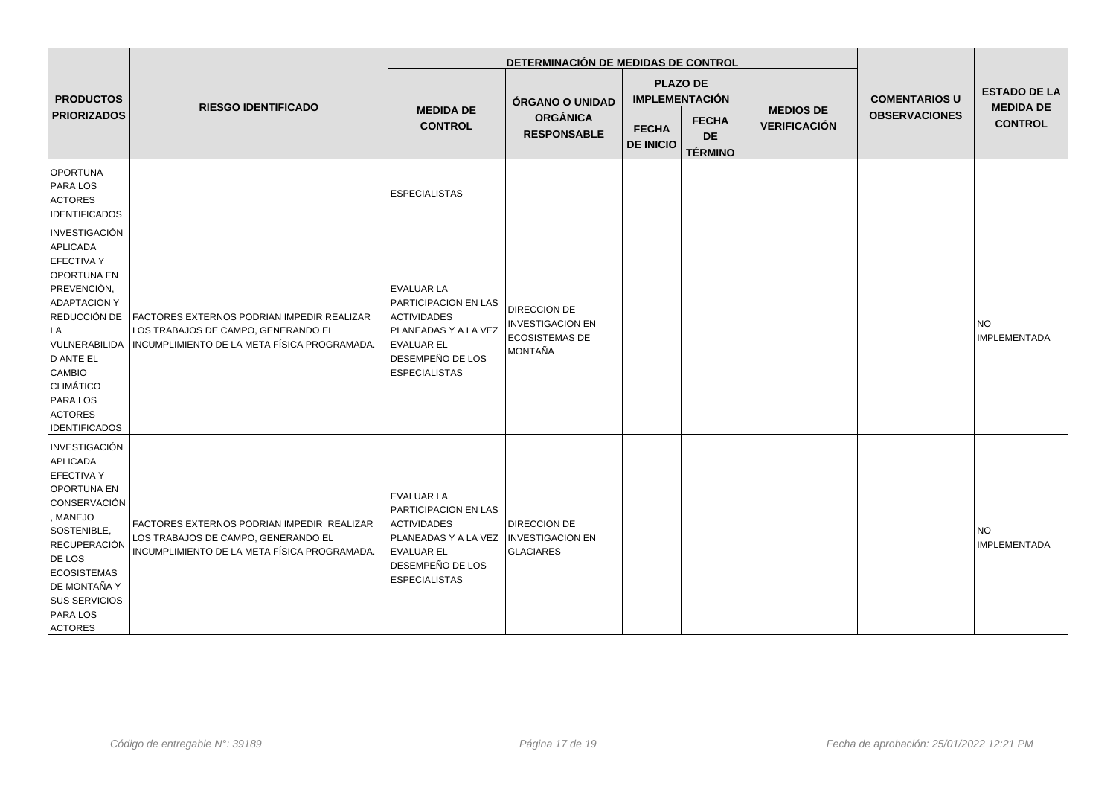|                                                                                                                                                                                                                                                                   |                                                                                                                                   | DETERMINACIÓN DE MEDIDAS DE CONTROL                                                                                                                             |                                                                                           |                                                                              |                                             |                                         |                                              |                                                           |
|-------------------------------------------------------------------------------------------------------------------------------------------------------------------------------------------------------------------------------------------------------------------|-----------------------------------------------------------------------------------------------------------------------------------|-----------------------------------------------------------------------------------------------------------------------------------------------------------------|-------------------------------------------------------------------------------------------|------------------------------------------------------------------------------|---------------------------------------------|-----------------------------------------|----------------------------------------------|-----------------------------------------------------------|
| <b>PRODUCTOS</b><br><b>PRIORIZADOS</b>                                                                                                                                                                                                                            | <b>RIESGO IDENTIFICADO</b>                                                                                                        | <b>MEDIDA DE</b><br><b>CONTROL</b>                                                                                                                              | ÓRGANO O UNIDAD<br><b>ORGÁNICA</b><br><b>RESPONSABLE</b>                                  | <b>PLAZO DE</b><br><b>IMPLEMENTACIÓN</b><br><b>FECHA</b><br><b>DE INICIO</b> | <b>FECHA</b><br><b>DE</b><br><b>TÉRMINO</b> | <b>MEDIOS DE</b><br><b>VERIFICACIÓN</b> | <b>COMENTARIOS U</b><br><b>OBSERVACIONES</b> | <b>ESTADO DE LA</b><br><b>MEDIDA DE</b><br><b>CONTROL</b> |
| <b>OPORTUNA</b><br>PARA LOS<br><b>ACTORES</b><br><b>IDENTIFICADOS</b>                                                                                                                                                                                             |                                                                                                                                   | <b>ESPECIALISTAS</b>                                                                                                                                            |                                                                                           |                                                                              |                                             |                                         |                                              |                                                           |
| <b>INVESTIGACIÓN</b><br>APLICADA<br><b>EFECTIVA Y</b><br>OPORTUNA EN<br>PREVENCIÓN,<br>ADAPTACIÓN Y<br>REDUCCIÓN DE<br>LA<br>VULNERABILIDA<br>D ANTE EL<br><b>CAMBIO</b><br>CLIMÁTICO<br><b>PARA LOS</b><br><b>ACTORES</b><br><b>IDENTIFICADOS</b>                | FACTORES EXTERNOS PODRIAN IMPEDIR REALIZAR<br>LOS TRABAJOS DE CAMPO, GENERANDO EL<br>INCUMPLIMIENTO DE LA META FÍSICA PROGRAMADA. | <b>EVALUAR LA</b><br>PARTICIPACION EN LAS<br><b>ACTIVIDADES</b><br>PLANEADAS Y A LA VEZ<br><b>EVALUAR EL</b><br><b>DESEMPEÑO DE LOS</b><br><b>ESPECIALISTAS</b> | <b>DIRECCION DE</b><br><b>INVESTIGACION EN</b><br><b>ECOSISTEMAS DE</b><br><b>MONTAÑA</b> |                                                                              |                                             |                                         |                                              | <b>INO</b><br><b>IMPLEMENTADA</b>                         |
| <b>INVESTIGACIÓN</b><br>APLICADA<br><b>EFECTIVA Y</b><br><b>OPORTUNA EN</b><br><b>CONSERVACIÓN</b><br>, MANEJO<br>SOSTENIBLE,<br>RECUPERACIÓN<br>DE LOS<br><b>ECOSISTEMAS</b><br><b>DE MONTAÑA Y</b><br><b>SUS SERVICIOS</b><br><b>PARA LOS</b><br><b>ACTORES</b> | FACTORES EXTERNOS PODRIAN IMPEDIR REALIZAR<br>LOS TRABAJOS DE CAMPO, GENERANDO EL<br>INCUMPLIMIENTO DE LA META FÍSICA PROGRAMADA. | <b>EVALUAR LA</b><br>PARTICIPACION EN LAS<br><b>ACTIVIDADES</b><br>PLANEADAS Y A LA VEZ<br><b>EVALUAR EL</b><br><b>DESEMPEÑO DE LOS</b><br><b>ESPECIALISTAS</b> | <b>DIRECCION DE</b><br><b>INVESTIGACION EN</b><br><b>GLACIARES</b>                        |                                                                              |                                             |                                         |                                              | <b>NO</b><br>IMPLEMENTADA                                 |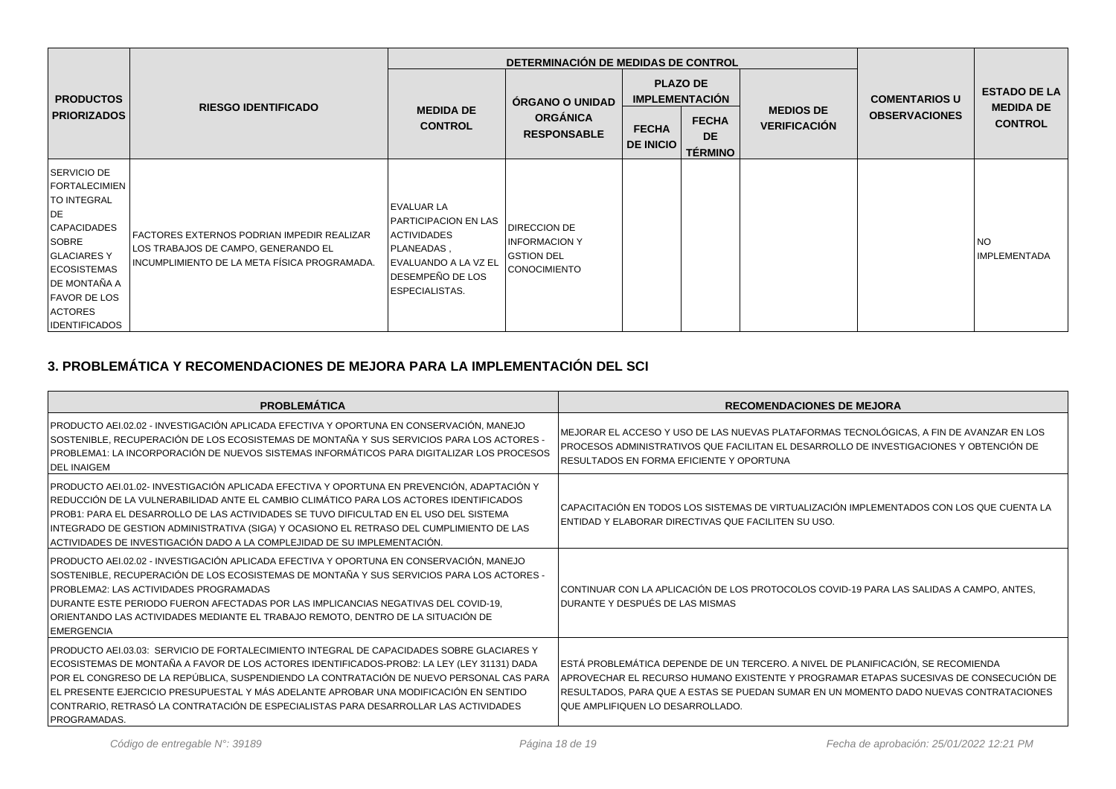|                                                                                                                                                                                                                     |                                                                                                                                   |                                                                                                                                                           | DETERMINACIÓN DE MEDIDAS DE CONTROL                                                           |                                          |                                             |                                         |                                              |                                         |
|---------------------------------------------------------------------------------------------------------------------------------------------------------------------------------------------------------------------|-----------------------------------------------------------------------------------------------------------------------------------|-----------------------------------------------------------------------------------------------------------------------------------------------------------|-----------------------------------------------------------------------------------------------|------------------------------------------|---------------------------------------------|-----------------------------------------|----------------------------------------------|-----------------------------------------|
| <b>PRODUCTOS</b>                                                                                                                                                                                                    | <b>RIESGO IDENTIFICADO</b>                                                                                                        |                                                                                                                                                           | ÓRGANO O UNIDAD                                                                               | <b>PLAZO DE</b><br><b>IMPLEMENTACIÓN</b> |                                             |                                         | <b>COMENTARIOS U</b><br><b>OBSERVACIONES</b> | <b>ESTADO DE LA</b><br><b>MEDIDA DE</b> |
| <b>PRIORIZADOS</b>                                                                                                                                                                                                  |                                                                                                                                   | <b>CONTROL</b>                                                                                                                                            | <b>MEDIDA DE</b><br><b>ORGÁNICA</b><br><b>FECHA</b><br><b>RESPONSABLE</b><br><b>DE INICIO</b> |                                          | <b>FECHA</b><br><b>DE</b><br><b>TÉRMINO</b> | <b>MEDIOS DE</b><br><b>VERIFICACIÓN</b> |                                              | <b>CONTROL</b>                          |
| SERVICIO DE<br><b>FORTALECIMIEN</b><br>TO INTEGRAL<br>DE<br><b>CAPACIDADES</b><br>SOBRE<br><b>GLACIARESY</b><br><b>ECOSISTEMAS</b><br>DE MONTAÑA A<br><b>FAVOR DE LOS</b><br><b>ACTORES</b><br><b>IDENTIFICADOS</b> | FACTORES EXTERNOS PODRIAN IMPEDIR REALIZAR<br>LOS TRABAJOS DE CAMPO, GENERANDO EL<br>INCUMPLIMIENTO DE LA META FÍSICA PROGRAMADA. | <b>EVALUAR LA</b><br><b>PARTICIPACION EN LAS</b><br><b>ACTIVIDADES</b><br>PLANEADAS,<br>EVALUANDO A LA VZ EL<br>DESEMPEÑO DE LOS<br><b>ESPECIALISTAS.</b> | DIRECCION DE<br><b>INFORMACION Y</b><br><b>GSTION DEL</b><br>CONOCIMIENTO                     |                                          |                                             |                                         |                                              | <b>NO</b><br><b>IMPLEMENTADA</b>        |

# **3. PROBLEMÁTICA Y RECOMENDACIONES DE MEJORA PARA LA IMPLEMENTACIÓN DEL SCI**

| <b>PROBLEMÁTICA</b>                                                                                                                                                                                                                                                                                                                                                                                                                                                                         | <b>RECOMENDACIONES DE MEJORA</b>                                                                                                                                                                                                                                                                       |
|---------------------------------------------------------------------------------------------------------------------------------------------------------------------------------------------------------------------------------------------------------------------------------------------------------------------------------------------------------------------------------------------------------------------------------------------------------------------------------------------|--------------------------------------------------------------------------------------------------------------------------------------------------------------------------------------------------------------------------------------------------------------------------------------------------------|
| PRODUCTO AEI.02.02 - INVESTIGACIÓN APLICADA EFECTIVA Y OPORTUNA EN CONSERVACIÓN, MANEJO<br>SOSTENIBLE, RECUPERACIÓN DE LOS ECOSISTEMAS DE MONTAÑA Y SUS SERVICIOS PARA LOS ACTORES -<br>PROBLEMA1: LA INCORPORACIÓN DE NUEVOS SISTEMAS INFORMÁTICOS PARA DIGITALIZAR LOS PROCESOS<br><b>DEL INAIGEM</b>                                                                                                                                                                                     | MEJORAR EL ACCESO Y USO DE LAS NUEVAS PLATAFORMAS TECNOLÓGICAS, A FIN DE AVANZAR EN LOS<br>PROCESOS ADMINISTRATIVOS QUE FACILITAN EL DESARROLLO DE INVESTIGACIONES Y OBTENCIÓN DE<br>RESULTADOS EN FORMA EFICIENTE Y OPORTUNA                                                                          |
| PRODUCTO AEI.01.02- INVESTIGACIÓN APLICADA EFECTIVA Y OPORTUNA EN PREVENCIÓN, ADAPTACIÓN Y<br>REDUCCIÓN DE LA VULNERABILIDAD ANTE EL CAMBIO CLIMÁTICO PARA LOS ACTORES IDENTIFICADOS<br>PROB1: PARA EL DESARROLLO DE LAS ACTIVIDADES SE TUVO DIFICULTAD EN EL USO DEL SISTEMA<br>INTEGRADO DE GESTION ADMINISTRATIVA (SIGA) Y OCASIONO EL RETRASO DEL CUMPLIMIENTO DE LAS<br>ACTIVIDADES DE INVESTIGACIÓN DADO A LA COMPLEJIDAD DE SU IMPLEMENTACIÓN.                                       | CAPACITACIÓN EN TODOS LOS SISTEMAS DE VIRTUALIZACIÓN IMPLEMENTADOS CON LOS QUE CUENTA LA<br>ENTIDAD Y ELABORAR DIRECTIVAS QUE FACILITEN SU USO.                                                                                                                                                        |
| PRODUCTO AEI.02.02 - INVESTIGACIÓN APLICADA EFECTIVA Y OPORTUNA EN CONSERVACIÓN, MANEJO<br>SOSTENIBLE, RECUPERACIÓN DE LOS ECOSISTEMAS DE MONTAÑA Y SUS SERVICIOS PARA LOS ACTORES -<br><b>PROBLEMA2: LAS ACTIVIDADES PROGRAMADAS</b><br>DURANTE ESTE PERIODO FUERON AFECTADAS POR LAS IMPLICANCIAS NEGATIVAS DEL COVID-19,<br>ORIENTANDO LAS ACTIVIDADES MEDIANTE EL TRABAJO REMOTO, DENTRO DE LA SITUACIÓN DE<br><b>EMERGENCIA</b>                                                        | CONTINUAR CON LA APLICACIÓN DE LOS PROTOCOLOS COVID-19 PARA LAS SALIDAS A CAMPO, ANTES,<br>DURANTE Y DESPUÉS DE LAS MISMAS                                                                                                                                                                             |
| PRODUCTO AEI.03.03: SERVICIO DE FORTALECIMIENTO INTEGRAL DE CAPACIDADES SOBRE GLACIARES Y<br>ECOSISTEMAS DE MONTAÑA A FAVOR DE LOS ACTORES IDENTIFICADOS-PROB2: LA LEY (LEY 31131) DADA<br>POR EL CONGRESO DE LA REPÚBLICA, SUSPENDIENDO LA CONTRATACIÓN DE NUEVO PERSONAL CAS PARA<br>EL PRESENTE EJERCICIO PRESUPUESTAL Y MÁS ADELANTE APROBAR UNA MODIFICACIÓN EN SENTIDO<br>CONTRARIO, RETRASÓ LA CONTRATACIÓN DE ESPECIALISTAS PARA DESARROLLAR LAS ACTIVIDADES<br><b>PROGRAMADAS.</b> | ESTÁ PROBLEMÁTICA DEPENDE DE UN TERCERO. A NIVEL DE PLANIFICACIÓN, SE RECOMIENDA<br>APROVECHAR EL RECURSO HUMANO EXISTENTE Y PROGRAMAR ETAPAS SUCESIVAS DE CONSECUCIÓN DE<br>RESULTADOS, PARA QUE A ESTAS SE PUEDAN SUMAR EN UN MOMENTO DADO NUEVAS CONTRATACIONES<br>QUE AMPLIFIQUEN LO DESARROLLADO. |